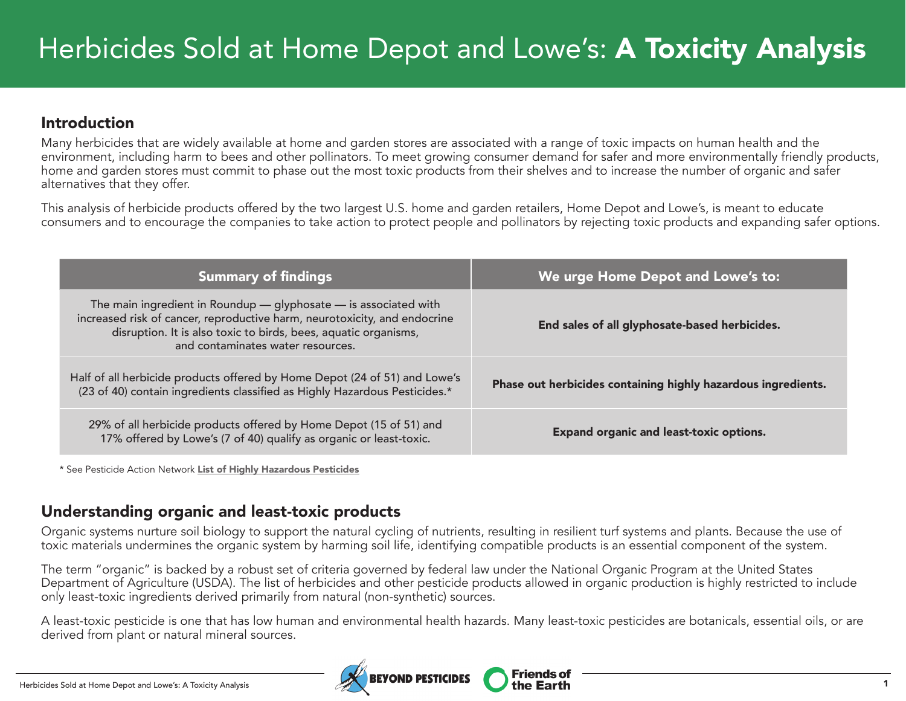### Introduction

Many herbicides that are widely available at home and garden stores are associated with a range of toxic impacts on human health and the environment, including harm to bees and other pollinators. To meet growing consumer demand for safer and more environmentally friendly products, home and garden stores must commit to phase out the most toxic products from their shelves and to increase the number of organic and safer alternatives that they offer.

This analysis of herbicide products offered by the two largest U.S. home and garden retailers, Home Depot and Lowe's, is meant to educate consumers and to encourage the companies to take action to protect people and pollinators by rejecting toxic products and expanding safer options.

| <b>Summary of findings</b>                                                                                                                                                                                                                            | We urge Home Depot and Lowe's to:                             |
|-------------------------------------------------------------------------------------------------------------------------------------------------------------------------------------------------------------------------------------------------------|---------------------------------------------------------------|
| The main ingredient in Roundup — glyphosate — is associated with<br>increased risk of cancer, reproductive harm, neurotoxicity, and endocrine<br>disruption. It is also toxic to birds, bees, aquatic organisms,<br>and contaminates water resources. | End sales of all glyphosate-based herbicides.                 |
| Half of all herbicide products offered by Home Depot (24 of 51) and Lowe's<br>(23 of 40) contain ingredients classified as Highly Hazardous Pesticides.*                                                                                              | Phase out herbicides containing highly hazardous ingredients. |
| 29% of all herbicide products offered by Home Depot (15 of 51) and<br>17% offered by Lowe's (7 of 40) qualify as organic or least-toxic.                                                                                                              | <b>Expand organic and least-toxic options.</b>                |

\* See Pesticide Action Network [List of Highly Hazardous Pesticides](http://pan-international.org/wp-content/uploads/PAN_HHP_List.pdf)

## Understanding organic and least-toxic products

Organic systems nurture soil biology to support the natural cycling of nutrients, resulting in resilient turf systems and plants. Because the use of toxic materials undermines the organic system by harming soil life, identifying compatible products is an essential component of the system.

The term "organic" is backed by a robust set of criteria governed by federal law under the National Organic Program at the United States Department of Agriculture (USDA). The list of herbicides and other pesticide products allowed in organic production is highly restricted to include only least-toxic ingredients derived primarily from natural (non-synthetic) sources.

A least-toxic pesticide is one that has low human and environmental health hazards. Many least-toxic pesticides are botanicals, essential oils, or are derived from plant or natural mineral sources.

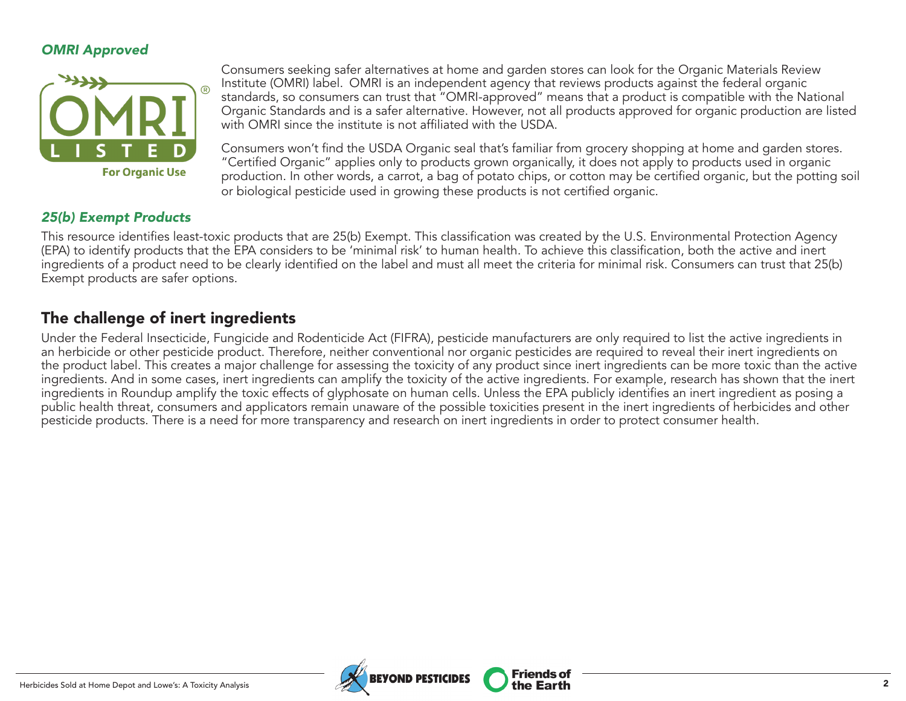#### *OMRI Approved*



Consumers seeking safer alternatives at home and garden stores can look for the Organic Materials Review Institute (OMRI) label. OMRI is an independent agency that reviews products against the federal organic standards, so consumers can trust that "OMRI-approved" means that a product is compatible with the National Organic Standards and is a safer alternative. However, not all products approved for organic production are listed with OMRI since the institute is not affiliated with the USDA.

Consumers won't find the USDA Organic seal that's familiar from grocery shopping at home and garden stores. "Certified Organic" applies only to products grown organically, it does not apply to products used in organic production. In other words, a carrot, a bag of potato chips, or cotton may be certified organic, but the potting soil or biological pesticide used in growing these products is not certified organic.

**Friends of** 

#### *25(b) Exempt Products*

This resource identifies least-toxic products that are 25(b) Exempt. This classification was created by the U.S. Environmental Protection Agency (EPA) to identify products that the EPA considers to be 'minimal risk' to human health. To achieve this classification, both the active and inert ingredients of a product need to be clearly identified on the label and must all meet the criteria for minimal risk. Consumers can trust that 25(b) Exempt products are safer options.

### The challenge of inert ingredients

Under the Federal Insecticide, Fungicide and Rodenticide Act (FIFRA), pesticide manufacturers are only required to list the active ingredients in an herbicide or other pesticide product. Therefore, neither conventional nor organic pesticides are required to reveal their inert ingredients on the product label. This creates a major challenge for assessing the toxicity of any product since inert ingredients can be more toxic than the active ingredients. And in some cases, inert ingredients can amplify the toxicity of the active ingredients. For example, research has shown that the inert ingredients in Roundup amplify the toxic effects of glyphosate on human cells. Unless the EPA publicly identifies an inert ingredient as posing a public health threat, consumers and applicators remain unaware of the possible toxicities present in the inert ingredients of herbicides and other pesticide products. There is a need for more transparency and research on inert ingredients in order to protect consumer health.

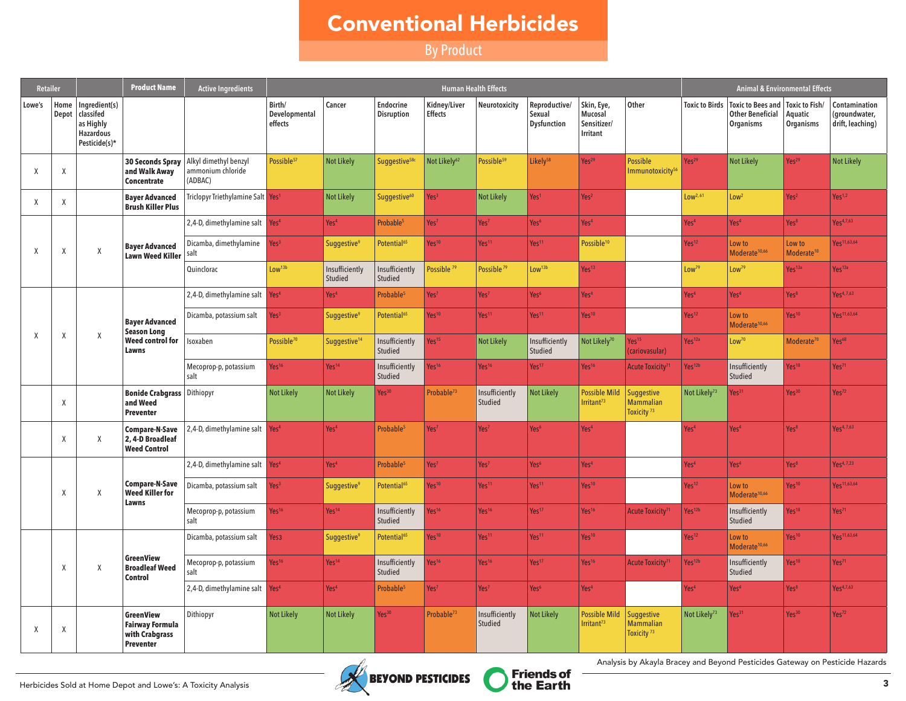# Conventional Herbicides

By Product

| <b>Retailer</b> |                 |                                                                              | <b>Product Name</b>                                                       | <b>Active Ingredients</b>                             |                                    |                               |                                |                                | <b>Human Health Effects</b> |                                               |                                                  |                                                          |                          | <b>Animal &amp; Environmental Effects</b>                                                   |                                  |                                                    |
|-----------------|-----------------|------------------------------------------------------------------------------|---------------------------------------------------------------------------|-------------------------------------------------------|------------------------------------|-------------------------------|--------------------------------|--------------------------------|-----------------------------|-----------------------------------------------|--------------------------------------------------|----------------------------------------------------------|--------------------------|---------------------------------------------------------------------------------------------|----------------------------------|----------------------------------------------------|
| Lowe's          | Home  <br>Depot | Ingredient(s)<br>classifed<br>as Highly<br><b>Hazardous</b><br>Pesticide(s)* |                                                                           |                                                       | Birth/<br>Developmental<br>effects | Cancer                        | <b>Endocrine</b><br>Disruption | Kidney/Liver<br><b>Effects</b> | Neurotoxicity               | Reproductive/<br>Sexual<br><b>Dysfunction</b> | Skin, Eye,<br>Mucosal<br>Sensitizer/<br>Irritant | Other                                                    |                          | Toxic to Birds   Toxic to Bees and   Toxic to Fish/<br><b>Other Beneficial</b><br>Organisms | Aquatic<br>Organisms             | Contamination<br>(groundwater,<br>drift, leaching) |
| X               | χ               |                                                                              | <b>30 Seconds Spray</b><br>and Walk Away<br><b>Concentrate</b>            | Alkyl dimethyl benzyl<br>ammonium chloride<br>(ADBAC) | Possible <sup>57</sup>             | <b>Not Likely</b>             | Suggestive <sup>58c</sup>      | Not Likely <sup>62</sup>       | Possible <sup>59</sup>      | Likelv <sup>58</sup>                          | Yes <sup>29</sup>                                | <b>Possible</b><br>Immunotoxicity <sup>56</sup>          | Yes <sup>29</sup>        | <b>Not Likely</b>                                                                           | Yes <sup>29</sup>                | <b>Not Likely</b>                                  |
| X               | Χ               |                                                                              | <b>Bayer Advanced</b><br><b>Brush Killer Plus</b>                         | Triclopyr Triethylamine Salt Yes <sup>1</sup>         |                                    | <b>Not Likely</b>             | Suggestive <sup>60</sup>       | Yes <sup>3</sup>               | <b>Not Likely</b>           | Yes <sup>1</sup>                              | Yes <sup>2</sup>                                 |                                                          | Low <sup>2, 61</sup>     | Low <sup>2</sup>                                                                            | Yes <sup>2</sup>                 | Yes <sup>1,2</sup>                                 |
|                 |                 |                                                                              |                                                                           | 2,4-D, dimethylamine salt                             | Yes <sup>4</sup>                   | Yes <sup>4</sup>              | Probable <sup>5</sup>          | Yes <sup>7</sup>               | Yes <sup>7</sup>            | Yes <sup>6</sup>                              | Yes <sup>4</sup>                                 |                                                          | Yes <sup>4</sup>         | Yes <sup>4</sup>                                                                            | Yes <sup>8</sup>                 | Yes <sup>4,7,63</sup>                              |
| X               | Χ               | Χ                                                                            | <b>Bayer Advanced</b><br><b>Lawn Weed Killer</b>                          | Dicamba, dimethylamine<br>salt                        | Yes <sup>3</sup>                   | Suggestive <sup>9</sup>       | Potential <sup>65</sup>        | Yes <sup>10</sup>              | Yes <sup>11</sup>           | Yes <sup>11</sup>                             | Possible <sup>10</sup>                           |                                                          | Yes <sup>12</sup>        | Low to<br>Moderate <sup>10,66</sup>                                                         | Low to<br>Moderate <sup>10</sup> | Yes <sup>11,63,64</sup>                            |
|                 |                 |                                                                              |                                                                           | Quinclorac                                            | Low <sup>13b</sup>                 | Insufficiently<br>Studied     | Insufficiently<br>Studied      | Possible <sup>79</sup>         | Possible <sup>79</sup>      | Low <sup>13b</sup>                            | Yes <sup>13</sup>                                |                                                          | Low <sup>79</sup>        | Low <sup>79</sup>                                                                           | Yes <sup>13a</sup>               | Yes <sup>13a</sup>                                 |
|                 |                 |                                                                              |                                                                           | 2,4-D, dimethylamine salt                             | Yes <sup>4</sup>                   | Yes <sup>4</sup>              | Probable <sup>5</sup>          | Yes <sup>7</sup>               | Yes <sup>7</sup>            | Yes <sup>6</sup>                              | Yes <sup>4</sup>                                 |                                                          | Yes <sup>4</sup>         | Yes <sup>4</sup>                                                                            | Yes <sup>8</sup>                 | Yes <sup>4,7,63</sup>                              |
|                 |                 |                                                                              | <b>Bayer Advanced</b><br><b>Season Long</b>                               | Dicamba, potassium salt                               | Yes <sup>3</sup>                   | <b>Suggestive<sup>9</sup></b> | Potential <sup>65</sup>        | Yes <sup>10</sup>              | Yes <sup>11</sup>           | Yes <sup>11</sup>                             | Yes <sup>10</sup>                                |                                                          | Yes <sup>12</sup>        | Low to<br>Moderate <sup>10,66</sup>                                                         | Yes <sup>10</sup>                | Yes <sup>11,63,64</sup>                            |
| $\mathsf{X}$    | χ               | X                                                                            | Weed control for<br>Lawns                                                 | Isoxaben                                              | Possible <sup>70</sup>             | Suggestive <sup>14</sup>      | Insufficiently<br>Studied      | $\text{Yes}^{15}$              | <b>Not Likely</b>           | Insufficiently<br>Studied                     | Not Likely <sup>70</sup>                         | Yes <sup>15</sup><br>(cariovasular)                      | Yes <sup>12a</sup>       | Low <sup>70</sup>                                                                           | Moderate <sup>70</sup>           | Yes <sup>68</sup>                                  |
|                 |                 |                                                                              |                                                                           | Mecoprop-p, potassium<br>salt                         | Yes <sup>16</sup>                  | Yes <sup>14</sup>             | Insufficiently<br>Studied      | Yes <sup>16</sup>              | Yes <sup>16</sup>           | Yes <sup>17</sup>                             | Yes <sup>16</sup>                                | Acute Toxicity <sup>71</sup>                             | Yes <sup>12b</sup>       | Insufficiently<br>Studied                                                                   | Yes <sup>18</sup>                | Yes <sup>71</sup>                                  |
|                 | $\chi$          |                                                                              | <b>Bonide Crabgrass</b> Dithiopyr<br>and Weed<br><b>Preventer</b>         |                                                       | <b>Not Likely</b>                  | <b>Not Likely</b>             | Yes <sup>30</sup>              | Probable <sup>73</sup>         | Insufficiently<br>Studied   | <b>Not Likely</b>                             | <b>Possible Mild</b><br>Irritant <sup>73</sup>   | Suggestive<br><b>Mammalian</b><br>Toxicity <sup>73</sup> | Not Likely <sup>73</sup> | Yes <sup>31</sup>                                                                           | Yes <sup>30</sup>                | Yes <sup>72</sup>                                  |
|                 | Χ               | Χ                                                                            | <b>Compare-N-Save</b><br>2, 4-D Broadleaf<br><b>Weed Control</b>          | 2,4-D, dimethylamine salt                             | Yes <sup>4</sup>                   | Yes <sup>4</sup>              | Probable <sup>5</sup>          | Yes <sup>7</sup>               | Yes <sup>7</sup>            | Yes <sup>6</sup>                              | Yes <sup>4</sup>                                 |                                                          | Yes <sup>4</sup>         | Yes <sup>4</sup>                                                                            | Yes <sup>8</sup>                 | Yes <sup>4,7,63</sup>                              |
|                 |                 |                                                                              |                                                                           | 2,4-D, dimethylamine salt                             | Yes <sup>4</sup>                   | Yes <sup>4</sup>              | Probable <sup>5</sup>          | Yes <sup>7</sup>               | Yes <sup>7</sup>            | Yes <sup>6</sup>                              | Yes <sup>4</sup>                                 |                                                          | Yes <sup>4</sup>         | Yes <sup>4</sup>                                                                            | Yes <sup>8</sup>                 | Yes <sup>4,7,23</sup>                              |
|                 | $\chi$          | X                                                                            | Compare-N-Save<br><b>Weed Killer for</b><br>Lawns                         | Dicamba, potassium salt                               | Yes <sup>3</sup>                   | <b>Suggestive<sup>9</sup></b> | Potential <sup>65</sup>        | Yes <sup>10</sup>              | Yes <sup>11</sup>           | Yes <sup>11</sup>                             | Yes <sup>10</sup>                                |                                                          | Yes <sup>12</sup>        | Low to<br>Moderate <sup>10,66</sup>                                                         | Yes <sup>10</sup>                | Yes <sup>11,63,64</sup>                            |
|                 |                 |                                                                              |                                                                           | Mecoprop-p, potassium<br>salt                         | Yes <sup>16</sup>                  | Yes <sup>14</sup>             | Insufficiently<br>Studied      | Yes <sup>16</sup>              | Yes <sup>16</sup>           | Yes <sup>17</sup>                             | Yes <sup>16</sup>                                | Acute Toxicity <sup>71</sup>                             | Yes <sup>12b</sup>       | Insufficiently<br>Studied                                                                   | Yes <sup>18</sup>                | Yes <sup>71</sup>                                  |
|                 |                 |                                                                              |                                                                           | Dicamba, potassium salt                               | Yes <sub>3</sub>                   | <b>Suggestive<sup>9</sup></b> | Potential <sup>65</sup>        | Yes <sup>10</sup>              | Yes <sup>11</sup>           | Yes <sup>11</sup>                             | Yes <sup>10</sup>                                |                                                          | Yes <sup>12</sup>        | Low to<br>Moderate <sup>10,66</sup>                                                         | Yes <sup>10</sup>                | Yes <sup>11,63,64</sup>                            |
|                 | $\mathsf X$     | X                                                                            | <b>GreenView</b><br><b>Broadleaf Weed</b><br><b>Control</b>               | Mecoprop-p, potassium<br>salt                         | Yes <sup>16</sup>                  | Yes <sup>14</sup>             | Insufficiently<br>Studied      | Yes <sup>16</sup>              | Yes <sup>16</sup>           | Yes <sup>17</sup>                             | Yes <sup>16</sup>                                | Acute Toxicity <sup>71</sup>                             | Yes <sup>12b</sup>       | Insufficiently<br>Studied                                                                   | Yes <sup>18</sup>                | Yes <sup>71</sup>                                  |
|                 |                 |                                                                              |                                                                           | 2,4-D, dimethylamine salt                             | Yes <sup>4</sup>                   | Yes <sup>4</sup>              | Probable <sup>5</sup>          | Yes <sup>7</sup>               | Yes <sup>7</sup>            | Yes <sup>6</sup>                              | Yes <sup>4</sup>                                 |                                                          | Yes <sup>4</sup>         | Yes <sup>4</sup>                                                                            | Yes <sup>8</sup>                 | Yes <sup>4,7,63</sup>                              |
| X               | χ               |                                                                              | GreenView<br><b>Fairway Formula</b><br>with Crabgrass<br><b>Preventer</b> | Dithiopyr                                             | <b>Not Likely</b>                  | <b>Not Likely</b>             | Yes <sup>30</sup>              | Probable <sup>73</sup>         | Insufficiently<br>Studied   | <b>Not Likely</b>                             | <b>Possible Mild</b><br>Irritant <sup>73</sup>   | Suggestive<br><b>Mammalian</b><br>Toxicity <sup>73</sup> | Not Likely <sup>73</sup> | Yes <sup>31</sup>                                                                           | Yes <sup>30</sup>                | Yes <sup>72</sup>                                  |





Analysis by Akayla Bracey and Beyond Pesticides Gateway on Pesticide Hazards<br>BEYOND PESTICIDES Triends of the Earth Analysis by Akayla Bracey and Beyond Pesticides Gateway on Pesticide Hazards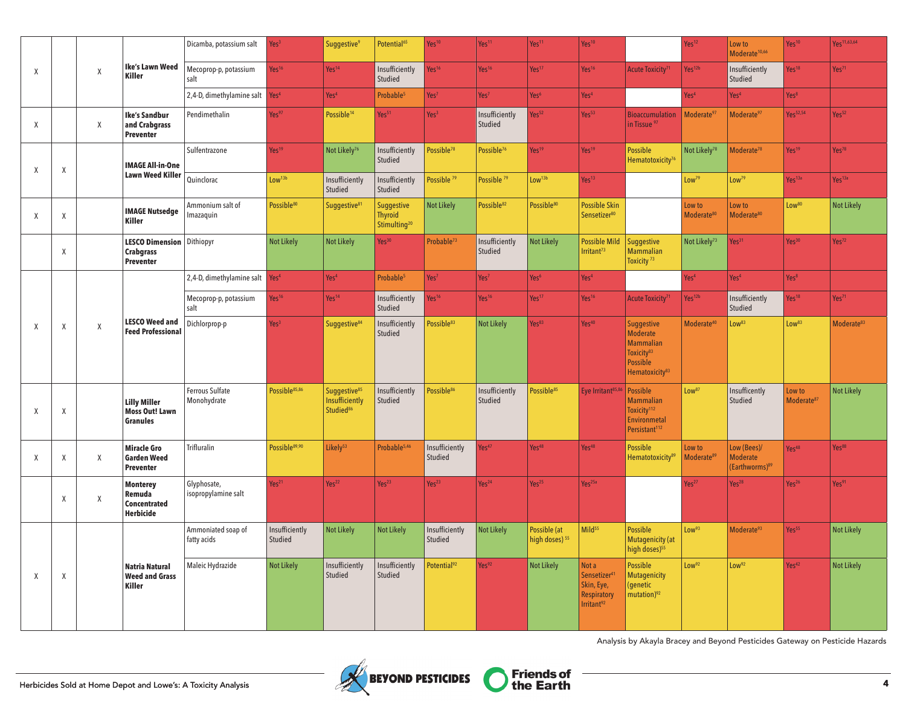|                     |             |   |                                                                 | Dicamba, potassium salt            | Yes <sup>3</sup>          | Suggestive <sup>9</sup>                                             | Potential <sup>65</sup>                                  | Yes <sup>10</sup>         | Yes <sup>11</sup>         | Yes <sup>11</sup>                         | Yes <sup>10</sup>                                                                              |                                                                                                                                     | Yes <sup>12</sup>                | Low to<br>Moderate <sup>10,66</sup>                          | Yes <sup>10</sup>                | Yes <sup>11,63,64</sup> |
|---------------------|-------------|---|-----------------------------------------------------------------|------------------------------------|---------------------------|---------------------------------------------------------------------|----------------------------------------------------------|---------------------------|---------------------------|-------------------------------------------|------------------------------------------------------------------------------------------------|-------------------------------------------------------------------------------------------------------------------------------------|----------------------------------|--------------------------------------------------------------|----------------------------------|-------------------------|
| X                   |             | Χ | <b>Ike's Lawn Weed</b><br><b>Killer</b>                         | Mecoprop-p, potassium<br>salt      | Yes <sup>16</sup>         | Yes <sup>14</sup>                                                   | Insufficiently<br>Studied                                | Yes <sup>16</sup>         | Yes <sup>16</sup>         | Yes <sup>17</sup>                         | Yes <sup>16</sup>                                                                              | Acute Toxicity <sup>7</sup>                                                                                                         | Yes <sup>12b</sup>               | Insufficiently<br>Studied                                    | Yes <sup>18</sup>                | Yes <sup>71</sup>       |
|                     |             |   |                                                                 | 2,4-D, dimethylamine salt          | Yes <sup>4</sup>          | Yes <sup>4</sup>                                                    | Probable <sup>5</sup>                                    | Yes <sup>7</sup>          | Yes <sup>7</sup>          | Yes <sup>6</sup>                          | Yes <sup>4</sup>                                                                               |                                                                                                                                     | Yes <sup>4</sup>                 | Yes <sup>4</sup>                                             | Yes <sup>8</sup>                 |                         |
| X                   |             | X | <b>Ike's Sandbur</b><br>and Crabgrass<br>Preventer              | Pendimethalin                      | Yes <sup>97</sup>         | Possible <sup>14</sup>                                              | Yes <sup>51</sup>                                        | Yes <sup>3</sup>          | Insufficiently<br>Studied | Yes <sup>52</sup>                         | Yes <sup>53</sup>                                                                              | <b>Bioaccumulation</b><br>in Tissue <sup>97</sup>                                                                                   | Moderate <sup>97</sup>           | Moderate <sup>97</sup>                                       | Yes <sup>52,54</sup>             | Yes <sup>52</sup>       |
| X                   | Χ           |   | <b>IMAGE All-in-One</b>                                         | Sulfentrazone                      | Yes <sup>19</sup>         | Not Likely <sup>76</sup>                                            | Insufficiently<br>Studied                                | Possible <sup>78</sup>    | Possible <sup>76</sup>    | Yes <sup>19</sup>                         | Yes <sup>19</sup>                                                                              | <b>Possible</b><br>Hematotoxicity <sup>76</sup>                                                                                     | Not Likely <sup>78</sup>         | Moderate <sup>78</sup>                                       | Yes <sup>19</sup>                | Yes <sup>78</sup>       |
|                     |             |   | <b>Lawn Weed Killer</b>                                         | Quinclorac                         | Low <sup>13b</sup>        | Insufficiently<br>Studied                                           | Insufficiently<br>Studied                                | Possible <sup>79</sup>    | Possible <sup>79</sup>    | Low <sup>13b</sup>                        | Yes <sup>13</sup>                                                                              |                                                                                                                                     | Low <sup>79</sup>                | Low <sup>79</sup>                                            | Yes <sup>13a</sup>               | Yes <sup>13a</sup>      |
| $\chi$              | X           |   | <b>IMAGE Nutsedge</b><br><b>Killer</b>                          | Ammonium salt of<br>Imazaquin      | Possible <sup>80</sup>    | Suggestive <sup>81</sup>                                            | Suggestive<br><b>Thyroid</b><br>Stimulting <sup>20</sup> | <b>Not Likely</b>         | Possible <sup>82</sup>    | Possible <sup>80</sup>                    | <b>Possible Skin</b><br>Sensetizer <sup>80</sup>                                               |                                                                                                                                     | Low to<br>Moderate <sup>80</sup> | Low to<br>Moderate <sup>80</sup>                             | Low <sup>80</sup>                | <b>Not Likely</b>       |
|                     | $\mathsf X$ |   | <b>LESCO Dimension</b><br><b>Crabgrass</b><br><b>Preventer</b>  | Dithiopyr                          | <b>Not Likely</b>         | <b>Not Likely</b>                                                   | Yes <sup>30</sup>                                        | Probable <sup>73</sup>    | Insufficiently<br>Studied | <b>Not Likely</b>                         | <b>Possible Mild</b><br>Irritant <sup>73</sup>                                                 | <b>Suggestive</b><br><b>Mammalian</b><br>Toxicity <sup>73</sup>                                                                     | Not Likely <sup>73</sup>         | Yes <sup>31</sup>                                            | Yes <sup>30</sup>                | Yes <sup>72</sup>       |
|                     |             |   |                                                                 | 2,4-D, dimethylamine salt          | Yes <sup>4</sup>          | Yes <sup>4</sup>                                                    | Probable <sup>5</sup>                                    | Yes <sup>7</sup>          | Yes <sup>7</sup>          | Yes <sup>6</sup>                          | Yes <sup>4</sup>                                                                               |                                                                                                                                     | Yes <sup>4</sup>                 | Yes <sup>4</sup>                                             | Yes <sup>8</sup>                 |                         |
|                     |             |   |                                                                 | Mecoprop-p, potassium<br>salt      | Yes <sup>16</sup>         | Yes <sup>14</sup>                                                   | Insufficiently<br>Studied                                | Yes <sup>16</sup>         | Yes <sup>16</sup>         | Yes <sup>17</sup>                         | Yes <sup>16</sup>                                                                              | Acute Toxicity <sup>7</sup>                                                                                                         | Yes <sup>12b</sup>               | Insufficiently<br>Studied                                    | Yes <sup>18</sup>                | Yes <sup>71</sup>       |
| $\boldsymbol{\chi}$ | $\mathsf X$ | X | <b>LESCO Weed and</b><br><b>Feed Professional</b>               | Dichlorprop-p                      | Yes <sup>3</sup>          | Suggestive <sup>84</sup>                                            | Insufficiently<br>Studied                                | Possible <sup>83</sup>    | <b>Not Likely</b>         | Yes <sup>83</sup>                         | Yes <sup>40</sup>                                                                              | <b>Suggestive</b><br><b>Moderate</b><br><b>Mammalian</b><br>Toxicity <sup>83</sup><br><b>Possible</b><br>Hematoxicitv <sup>83</sup> | Moderate <sup>40</sup>           | Low <sup>83</sup>                                            | Low <sup>83</sup>                | Moderate <sup>83</sup>  |
| Χ                   | χ           |   | <b>Lilly Miller</b><br><b>Moss Out! Lawn</b><br><b>Granules</b> | Ferrous Sulfate<br>Monohydrate     | Possible <sup>85,86</sup> | Suggestive <sup>85</sup><br>Insufficiently<br>Studied <sup>86</sup> | Insufficiently<br>Studied                                | Possible <sup>86</sup>    | Insufficiently<br>Studied | Possible <sup>85</sup>                    | Eye Irritant <sup>85,86</sup>                                                                  | <b>Possible</b><br><b>Mammalian</b><br>Toxicity <sup>112</sup><br><b>Environmetal</b><br>Persistant <sup>112</sup>                  | Low <sup>87</sup>                | Insufficently<br>Studied                                     | Low to<br>Moderate <sup>87</sup> | <b>Not Likely</b>       |
| X                   | Χ           | Χ | <b>Miracle Gro</b><br><b>Garden Weed</b><br><b>Preventer</b>    | <b>Trifluralin</b>                 | Possible <sup>89,90</sup> | likely <sup>53</sup>                                                | Probable <sup>5,46</sup>                                 | Insufficiently<br>Studied | Yes <sup>47</sup>         | Yes <sup>48</sup>                         | Yes <sup>48</sup>                                                                              | <b>Possible</b><br>Hematotoxicity <sup>89</sup>                                                                                     | Low to<br>Moderate <sup>89</sup> | Low (Bees)/<br><b>Moderate</b><br>(Earthworms) <sup>89</sup> | Yes <sup>48</sup>                | Yes <sup>88</sup>       |
|                     | $\mathsf X$ | Χ | <b>Monterey</b><br>Remuda<br>Concentrated<br><b>Herbicide</b>   | Glyphosate,<br>isopropylamine salt | Yes <sup>21</sup>         | Yes <sup>22</sup>                                                   | Yes <sup>23</sup>                                        | Yes <sup>23</sup>         | Yes <sup>24</sup>         | Yes <sup>25</sup>                         | Yes <sup>25a</sup>                                                                             |                                                                                                                                     | Yes <sup>27</sup>                | Yes <sup>28</sup>                                            | Yes <sup>26</sup>                | Yes <sup>91</sup>       |
|                     |             |   |                                                                 | Ammoniated soap of<br>fatty acids  | Insufficiently<br>Studied | <b>Not Likely</b>                                                   | <b>Not Likely</b>                                        | Insufficiently<br>Studied | <b>Not Likely</b>         | Possible (at<br>high doses) <sup>55</sup> | Mild <sup>55</sup>                                                                             | <b>Possible</b><br><b>Mutagenicity (at</b><br>high doses) <sup>55</sup>                                                             | Low <sup>93</sup>                | Moderate <sup>93</sup>                                       | Yes <sup>55</sup>                | <b>Not Likely</b>       |
| $\boldsymbol{\chi}$ | χ           |   | <b>Natria Natural</b><br><b>Weed and Grass</b><br><b>Killer</b> | Maleic Hydrazide                   | <b>Not Likely</b>         | Insufficiently<br>Studied                                           | Insufficiently<br>Studied                                | Potential <sup>92</sup>   | Yes <sup>92</sup>         | <b>Not Likely</b>                         | Not a<br>Sensetizer <sup>4</sup><br>Skin, Eye,<br><b>Respiratory</b><br>Irritant <sup>92</sup> | <b>Possible</b><br><b>Mutagenicity</b><br>(genetic<br>mutation) <sup>92</sup>                                                       | Low <sup>92</sup>                | Low <sup>92</sup>                                            | Yes <sup>42</sup>                | <b>Not Likely</b>       |

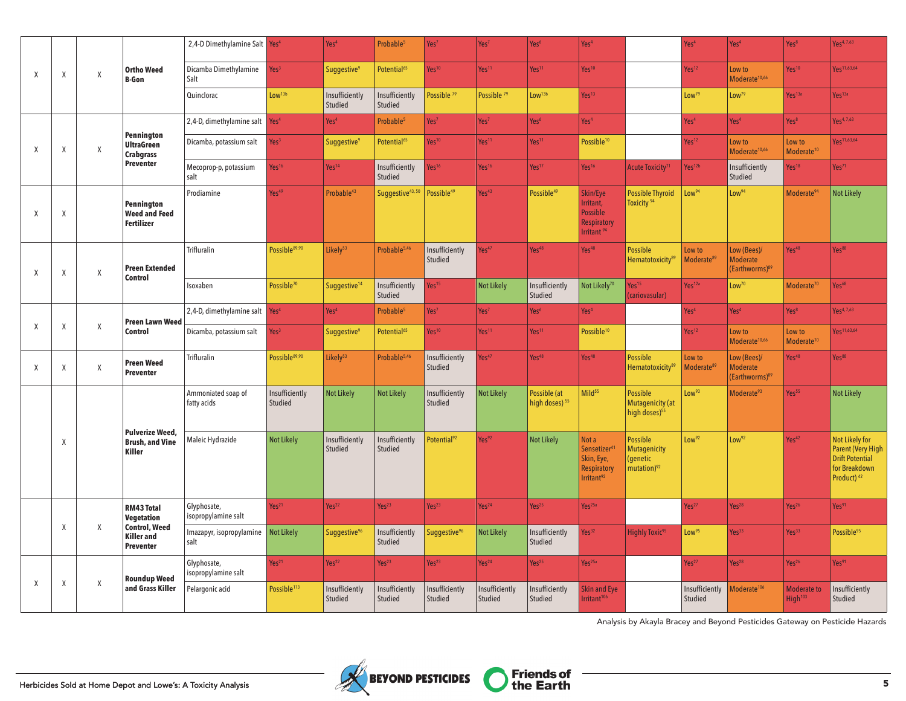|                           |        | Χ |                                                               | 2,4-D Dimethylamine Salt Yes <sup>4</sup> |                           | Yes <sup>4</sup>              | Probable <sup>5</sup>        | Yes <sup>7</sup>          | Yes <sup>7</sup>          | Yes <sup>6</sup>                          | Yes <sup>4</sup>                                                                               |                                                                               | Yes <sup>4</sup>                 | Yes <sup>4</sup>                                             | Yes <sup>8</sup>                          | Yes <sup>4,7,63</sup>                                                                                    |
|---------------------------|--------|---|---------------------------------------------------------------|-------------------------------------------|---------------------------|-------------------------------|------------------------------|---------------------------|---------------------------|-------------------------------------------|------------------------------------------------------------------------------------------------|-------------------------------------------------------------------------------|----------------------------------|--------------------------------------------------------------|-------------------------------------------|----------------------------------------------------------------------------------------------------------|
| $\boldsymbol{\mathsf{X}}$ | Χ      |   | <b>Ortho Weed</b><br><b>B-Gon</b>                             | Dicamba Dimethylamine<br>Salt             | Yes <sup>3</sup>          | Suggestive <sup>9</sup>       | Potential <sup>65</sup>      | Yes <sup>10</sup>         | Yes <sup>11</sup>         | Yes <sup>11</sup>                         | Yes <sup>10</sup>                                                                              |                                                                               | Yes <sup>12</sup>                | Low to<br>Moderate <sup>10,66</sup>                          | Yes <sup>10</sup>                         | Yes <sup>11,63,64</sup>                                                                                  |
|                           |        |   |                                                               | Quinclorac                                | Low <sup>13b</sup>        | Insufficiently<br>Studied     | Insufficiently<br>Studied    | Possible <sup>79</sup>    | Possible <sup>79</sup>    | Low <sup>13b</sup>                        | Yes <sup>13</sup>                                                                              |                                                                               | Low <sup>79</sup>                | Low <sup>79</sup>                                            | Yes <sup>13a</sup>                        | Yes <sup>13a</sup>                                                                                       |
|                           |        |   |                                                               | 2,4-D, dimethylamine salt                 | Yes <sup>4</sup>          | Yes <sup>4</sup>              | Probable <sup>5</sup>        | Yes <sup>7</sup>          | Yes <sup>7</sup>          | Yes <sup>6</sup>                          | Yes <sup>4</sup>                                                                               |                                                                               | Yes <sup>4</sup>                 | Yes <sup>4</sup>                                             | Yes <sup>8</sup>                          | Yes <sup>4,7,63</sup>                                                                                    |
| $\boldsymbol{\mathsf{X}}$ | Χ      | Χ | Pennington<br><b>UltraGreen</b><br><b>Crabgrass</b>           | Dicamba, potassium salt                   | Yes <sup>3</sup>          | <b>Suggestive<sup>9</sup></b> | Potential <sup>65</sup>      | Yes <sup>10</sup>         | Yes <sup>11</sup>         | Yes <sup>11</sup>                         | Possible <sup>10</sup>                                                                         |                                                                               | Yes <sup>12</sup>                | Low to<br>Moderate <sup>10,66</sup>                          | Low to<br>Moderate <sup>10</sup>          | Yes <sup>11,63,64</sup>                                                                                  |
|                           |        |   | <b>Preventer</b>                                              | Mecoprop-p, potassium<br>salt             | Yes <sup>16</sup>         | Yes <sup>14</sup>             | Insufficiently<br>Studied    | Yes <sup>16</sup>         | Yes <sup>16</sup>         | Yes <sup>17</sup>                         | Yes <sup>16</sup>                                                                              | Acute Toxicity <sup>71</sup>                                                  | Yes <sup>12b</sup>               | Insufficiently<br>Studied                                    | Yes <sup>18</sup>                         | Yes <sup>71</sup>                                                                                        |
| $\mathsf{X}$              | Χ      |   | Pennington<br><b>Weed and Feed</b><br><b>Fertilizer</b>       | Prodiamine                                | Yes <sup>49</sup>         | Probable <sup>43</sup>        | Suggestive <sup>43, 50</sup> | Possible <sup>49</sup>    | Yes <sup>43</sup>         | Possible <sup>49</sup>                    | Skin/Eye<br>Irritant,<br><b>Possible</b><br><b>Respiratory</b><br>Irritant <sup>94</sup>       | <b>Possible Thyroid</b><br>Toxicity <sup>94</sup>                             | Low <sup>94</sup>                | Low <sup>94</sup>                                            | Moderate <sup>94</sup>                    | <b>Not Likely</b>                                                                                        |
| X                         | Χ      | Χ | <b>Preen Extended</b>                                         | <b>Trifluralin</b>                        | Possible <sup>89,90</sup> | Likely <sup>53</sup>          | Probable <sup>5,46</sup>     | Insufficiently<br>Studied | Yes <sup>47</sup>         | Yes <sup>48</sup>                         | Yes <sup>48</sup>                                                                              | <b>Possible</b><br>Hematotoxicity <sup>89</sup>                               | Low to<br>Moderate <sup>89</sup> | Low (Bees)/<br><b>Moderate</b><br>(Earthworms) <sup>89</sup> | Yes <sup>48</sup>                         | Yes <sup>88</sup>                                                                                        |
|                           |        |   | <b>Control</b>                                                | Isoxaben                                  | Possible <sup>70</sup>    | Suggestive <sup>14</sup>      | Insufficiently<br>Studied    | Yes <sup>15</sup>         | <b>Not Likely</b>         | Insufficiently<br>Studied                 | Not Likelv <sup>70</sup>                                                                       | Yes <sup>15</sup><br>(cariovasular)                                           | Yes <sup>12a</sup>               | Low <sup>70</sup>                                            | Moderate <sup>70</sup>                    | Yes <sup>68</sup>                                                                                        |
|                           |        |   | <b>Preen Lawn Weed</b><br><b>Control</b>                      | 2,4-D, dimethylamine salt                 | Yes <sup>4</sup>          | Yes <sup>4</sup>              | Probable <sup>5</sup>        | Yes <sup>7</sup>          | Yes <sup>7</sup>          | Yes <sup>6</sup>                          | Yes <sup>4</sup>                                                                               |                                                                               | Yes <sup>4</sup>                 | Yes <sup>4</sup>                                             | Yes <sup>8</sup>                          | Yes <sup>4, 7,63</sup>                                                                                   |
| $\chi$                    | Χ      | Χ |                                                               | Dicamba, potassium salt                   | Yes <sup>3</sup>          | <b>Suggestive<sup>9</sup></b> | Potential <sup>65</sup>      | Yes <sup>10</sup>         | Yes <sup>11</sup>         | Yes <sup>11</sup>                         | Possible <sup>10</sup>                                                                         |                                                                               | Yes <sup>12</sup>                | Low to<br>Moderate <sup>10,66</sup>                          | Low to<br>Moderate <sup>10</sup>          | Yes <sup>11,63,64</sup>                                                                                  |
| $\chi$                    | Χ      | Χ | <b>Preen Weed</b><br><b>Preventer</b>                         | <b>Trifluralin</b>                        | Possible <sup>89,90</sup> | Likely <sup>53</sup>          | Probable <sup>5,46</sup>     | Insufficiently<br>Studied | Yes <sup>47</sup>         | Yes <sup>48</sup>                         | Yes <sup>48</sup>                                                                              | <b>Possible</b><br>Hematotoxicity <sup>89</sup>                               | Low to<br>Moderate <sup>89</sup> | Low (Bees)/<br><b>Moderate</b><br>(Earthworms) <sup>89</sup> | Yes <sup>48</sup>                         | Yes <sup>88</sup>                                                                                        |
|                           |        |   |                                                               | Ammoniated soap of<br>fatty acids         | Insufficiently<br>Studied | <b>Not Likely</b>             | <b>Not Likely</b>            | Insufficiently<br>Studied | <b>Not Likely</b>         | Possible (at<br>high doses) <sup>55</sup> | Mild <sup>55</sup>                                                                             | <b>Possible</b><br><b>Mutagenicity (at</b><br>high doses) <sup>55</sup>       | Low <sup>93</sup>                | Moderate <sup>93</sup>                                       | Yes <sup>55</sup>                         | <b>Not Likely</b>                                                                                        |
|                           | $\chi$ |   | <b>Pulverize Weed,</b><br><b>Brush, and Vine</b><br>Killer    | Maleic Hydrazide                          | <b>Not Likely</b>         | Insufficiently<br>Studied     | Insufficiently<br>Studied    | Potential <sup>92</sup>   | Yes <sup>92</sup>         | <b>Not Likely</b>                         | Not a<br>Sensetizer <sup>4</sup><br>Skin, Eye,<br><b>Respiratory</b><br>Irritant <sup>92</sup> | <b>Possible</b><br><b>Mutagenicity</b><br>(genetic<br>mutation) <sup>92</sup> | Low <sup>92</sup>                | Low <sup>92</sup>                                            | Yes <sup>42</sup>                         | Not Likely for<br>Parent (Very High<br><b>Drift Potential</b><br>for Breakdown<br>Product) <sup>42</sup> |
|                           |        |   | <b>RM43 Total</b><br>Vegetation                               | Glyphosate,<br>isopropylamine salt        | Yes <sup>21</sup>         | Yes <sup>22</sup>             | Yes <sup>23</sup>            | Yes <sup>23</sup>         | Yes <sup>24</sup>         | Yes <sup>25</sup>                         | Yes <sup>25a</sup>                                                                             |                                                                               | Yes <sup>27</sup>                | Yes <sup>28</sup>                                            | Yes <sup>26</sup>                         | Yes <sup>91</sup>                                                                                        |
|                           | Χ      | X | <b>Control, Weed</b><br><b>Killer</b> and<br><b>Preventer</b> | Imazapyr, isopropylamine<br>salt          | <b>Not Likely</b>         | Suggestive <sup>96</sup>      | Insufficiently<br>Studied    | Suggestive <sup>96</sup>  | <b>Not Likely</b>         | Insufficiently<br>Studied                 | Yes <sup>32</sup>                                                                              | <b>Highly Toxic<sup>95</sup></b>                                              | Low <sup>95</sup>                | Yes <sup>33</sup>                                            | Yes <sup>33</sup>                         | Possible <sup>95</sup>                                                                                   |
|                           |        |   | <b>Roundup Weed</b>                                           | Glyphosate,<br>isopropylamine salt        | Yes <sup>21</sup>         | Yes <sup>22</sup>             | Yes <sup>23</sup>            | Yes <sup>23</sup>         | Yes <sup>24</sup>         | Yes <sup>25</sup>                         | Yes <sup>25a</sup>                                                                             |                                                                               | Yes <sup>27</sup>                | Yes <sup>28</sup>                                            | Yes <sup>26</sup>                         | Yes <sup>91</sup>                                                                                        |
| $\boldsymbol{\mathsf{X}}$ | Χ      | Χ | and Grass Killer                                              | Pelargonic acid                           | Possible <sup>113</sup>   | Insufficiently<br>Studied     | Insufficiently<br>Studied    | Insufficiently<br>Studied | Insufficiently<br>Studied | Insufficiently<br>Studied                 | Skin and Eye<br>Irritant <sup>106</sup>                                                        |                                                                               | Insufficiently<br>Studied        | Moderate <sup>106</sup>                                      | <b>Moderate to</b><br>High <sup>103</sup> | Insufficiently<br>Studied                                                                                |

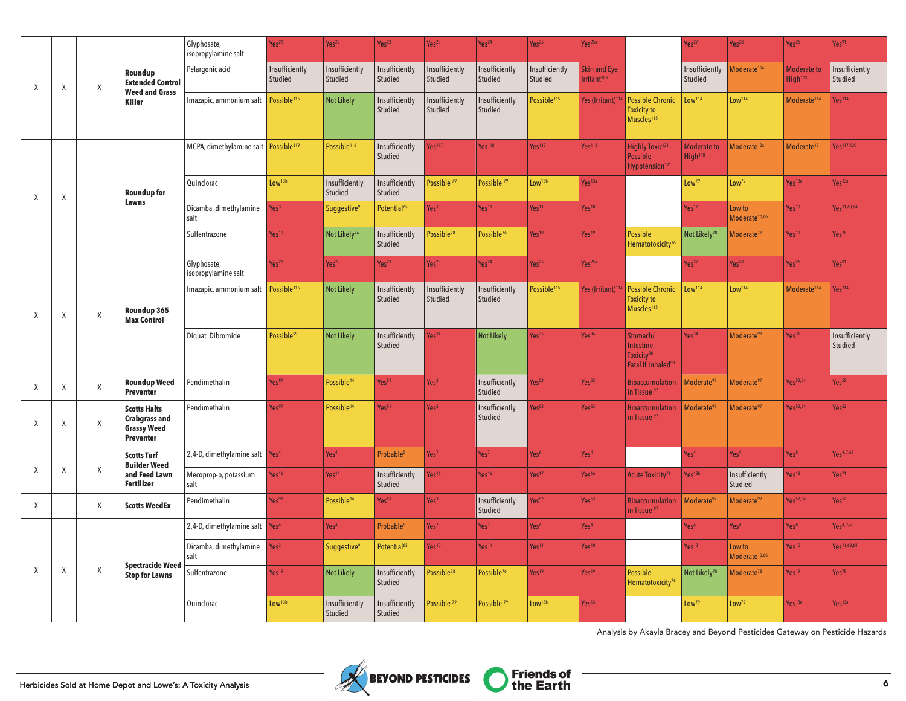|   |              |   |                                                                                | Glyphosate,<br>isopropylamine salt                 | Yes <sup>21</sup>         | Yes <sup>22</sup>             | Yes <sup>23</sup>         | Yes <sup>23</sup>         | Yes <sup>24</sup>         | Yes <sup>25</sup>         | Yes <sup>25a</sup>                             |                                                                                   | Yes <sup>27</sup>                         | Yes <sup>28</sup>                   | Yes <sup>26</sup>                         | Yes <sup>91</sup>         |
|---|--------------|---|--------------------------------------------------------------------------------|----------------------------------------------------|---------------------------|-------------------------------|---------------------------|---------------------------|---------------------------|---------------------------|------------------------------------------------|-----------------------------------------------------------------------------------|-------------------------------------------|-------------------------------------|-------------------------------------------|---------------------------|
| Χ | Χ            | Χ | Roundup<br><b>Extended Control</b><br><b>Weed and Grass</b>                    | Pelargonic acid                                    | Insufficiently<br>Studied | Insufficiently<br>Studied     | Insufficiently<br>Studied | Insufficiently<br>Studied | Insufficiently<br>Studied | Insufficiently<br>Studied | <b>Skin and Eye</b><br>Irritant <sup>106</sup> |                                                                                   | Insufficiently<br>Studied                 | Moderate <sup>106</sup>             | <b>Moderate to</b><br>High <sup>103</sup> | Insufficiently<br>Studied |
|   |              |   | Killer                                                                         | Imazapic, ammonium salt                            | Possible <sup>115</sup>   | <b>Not Likely</b>             | Insufficiently<br>Studied | Insufficiently<br>Studied | Insufficiently<br>Studied | Possible <sup>115</sup>   | Yes (Irritant) <sup>114</sup>                  | <b>Possible Chronic</b><br><b>Toxicity to</b><br>Muscles <sup>115</sup>           | Low <sup>114</sup>                        | Low <sup>114</sup>                  | Moderate <sup>114</sup>                   | Yes <sup>114</sup>        |
|   |              |   |                                                                                | MCPA, dimethylamine salt   Possible <sup>119</sup> |                           | Possible <sup>116</sup>       | Insufficiently<br>Studied | $\sqrt{es^{117}}$         | Yes <sup>118</sup>        | Yes <sup>117</sup>        | Yes <sup>118</sup>                             | Highly Toxic <sup>121</sup><br>Possible<br>Hypotension <sup>121</sup>             | <b>Moderate to</b><br>High <sup>118</sup> | Moderate <sup>12a</sup>             | Moderate <sup>121</sup>                   | Yes <sup>117,120</sup>    |
| Χ | X            |   | <b>Roundup for</b>                                                             | Quinclorac                                         | Low <sup>13b</sup>        | Insufficiently<br>Studied     | Insufficiently<br>Studied | Possible <sup>79</sup>    | Possible <sup>79</sup>    | Low <sup>13b</sup>        | Yes <sup>13a</sup>                             |                                                                                   | Low <sup>79</sup>                         | Low <sup>79</sup>                   | Yes <sup>13a</sup>                        | Yes <sup>13a</sup>        |
|   |              |   | Lawns                                                                          | Dicamba, dimethylamine<br>salt                     | Yes <sup>3</sup>          | <b>Suggestive<sup>9</sup></b> | Potential <sup>65</sup>   | Yes <sup>10</sup>         | Yes <sup>11</sup>         | Yes <sup>11</sup>         | Yes <sup>10</sup>                              |                                                                                   | Yes <sup>12</sup>                         | Low to<br>Moderate <sup>10,66</sup> | Yes <sup>10</sup>                         | Yes <sup>11,63,64</sup>   |
|   |              |   |                                                                                | Sulfentrazone                                      | Yes <sup>19</sup>         | Not Likely <sup>76</sup>      | Insufficiently<br>Studied | Possible <sup>78</sup>    | Possible <sup>76</sup>    | Yes <sup>19</sup>         | Yes <sup>19</sup>                              | Possible<br>Hematotoxicity <sup>76</sup>                                          | Not Likely <sup>78</sup>                  | Moderate <sup>78</sup>              | Yes <sup>19</sup>                         | Yes <sup>78</sup>         |
|   |              |   |                                                                                | Glyphosate,<br>isopropylamine salt                 | Yes <sup>21</sup>         | Yes <sup>22</sup>             | Yes <sup>23</sup>         | Yes <sup>23</sup>         | Yes <sup>24</sup>         | Yes <sup>25</sup>         | Yes <sup>25a</sup>                             |                                                                                   | Yes <sup>27</sup>                         | Yes <sup>28</sup>                   | Yes <sup>26</sup>                         | Yes91                     |
| X | $\mathsf{X}$ | X | Roundup 365<br><b>Max Control</b>                                              | Imazapic, ammonium salt                            | Possible <sup>115</sup>   | <b>Not Likely</b>             | Insufficiently<br>Studied | Insufficiently<br>Studied | Insufficiently<br>Studied | Possible <sup>115</sup>   | Yes (Irritant) <sup>11</sup>                   | <b>Possible Chronic</b><br><b>Toxicity to</b><br>Muscles <sup>115</sup>           | Low <sup>114</sup>                        | Low <sup>114</sup>                  | Moderate <sup>114</sup>                   | Yes <sup>114</sup>        |
|   |              |   |                                                                                | Diquat Dibromide                                   | Possible <sup>99</sup>    | <b>Not Likely</b>             | Insufficiently<br>Studied | $\sqrt{es^{34}}$          | <b>Not Likely</b>         | Yes <sup>35</sup>         | Yes <sup>36</sup>                              | Stomach/<br>Intestine<br>Toxicity <sup>98</sup><br>Fatal if Inhaled <sup>98</sup> | Yes <sup>34</sup>                         | Moderate <sup>98</sup>              | Yes <sup>36</sup>                         | Insufficiently<br>Studied |
| X | X            | X | <b>Roundup Weed</b><br><b>Preventer</b>                                        | Pendimethalin                                      | Yes97                     | Possible <sup>14</sup>        | Yes <sup>51</sup>         | Yes <sup>3</sup>          | Insufficiently<br>Studied | Yes <sup>52</sup>         | Yes <sup>53</sup>                              | <b>Bioaccumulation</b><br>in Tissue <sup>97</sup>                                 | Moderate <sup>97</sup>                    | Moderate <sup>97</sup>              | Yes <sup>52,54</sup>                      | Yes <sup>52</sup>         |
| Χ | X            | X | <b>Scotts Halts</b><br><b>Crabgrass and</b><br><b>Grassy Weed</b><br>Preventer | Pendimethalin                                      | Yes <sup>97</sup>         | Possible <sup>14</sup>        | Yes <sup>51</sup>         | Yes <sup>3</sup>          | Insufficiently<br>Studied | Yes <sup>52</sup>         | Yes <sup>53</sup>                              | <b>Bioaccumulation</b><br>in Tissue <sup>97</sup>                                 | Moderate <sup>97</sup>                    | Moderate <sup>97</sup>              | Yes <sup>52,54</sup>                      | Yes <sup>52</sup>         |
| Χ | Χ            | Χ | <b>Scotts Turf</b><br><b>Builder Weed</b>                                      | 2,4-D, dimethylamine salt                          | Yes <sup>4</sup>          | Yes <sup>4</sup>              | Probable <sup>5</sup>     | Yes <sup>7</sup>          | Yes <sup>7</sup>          | Yes <sup>6</sup>          | Yes <sup>4</sup>                               |                                                                                   | Yes <sup>4</sup>                          | Yes <sup>4</sup>                    | Yes <sup>8</sup>                          | Yes <sup>4,7,63</sup>     |
|   |              |   | and Feed Lawn<br><b>Fertilizer</b>                                             | Mecoprop-p, potassium<br>salt                      | Yes <sup>16</sup>         | Yes <sup>14</sup>             | Insufficiently<br>Studied | Yes <sup>16</sup>         | Yes <sup>16</sup>         | Yes <sup>17</sup>         | Yes <sup>16</sup>                              | Acute Toxicity <sup>71</sup>                                                      | Yes <sup>12b</sup>                        | Insufficiently<br>Studied           | Yes <sup>18</sup>                         | Yes <sup>71</sup>         |
| X |              | X | <b>Scotts WeedEx</b>                                                           | Pendimethalin                                      | Yes97                     | Possible <sup>14</sup>        | Yes <sup>51</sup>         | Yes <sup>3</sup>          | Insufficiently<br>Studied | Yes <sup>52</sup>         | Yes <sup>53</sup>                              | <b>Bioaccumulation</b><br>in Tissue <sup>97</sup>                                 | Moderate <sup>97</sup>                    | Moderate <sup>97</sup>              | Yes <sup>52,54</sup>                      | Yes <sup>52</sup>         |
|   |              |   |                                                                                | 2,4-D, dimethylamine salt                          | Yes <sup>4</sup>          | Yes <sup>4</sup>              | Probable <sup>5</sup>     | Yes <sup>7</sup>          | Yes <sup>7</sup>          | Yes <sup>6</sup>          | Yes <sup>4</sup>                               |                                                                                   | Yes <sup>4</sup>                          | Yes <sup>4</sup>                    | Yes <sup>8</sup>                          | Yes <sup>4,7,63</sup>     |
|   |              |   | <b>Spectracide Weed</b>                                                        | Dicamba, dimethylamine<br>salt                     | Yes <sup>3</sup>          | Suggestive <sup>9</sup>       | Potential <sup>65</sup>   | Yes <sup>10</sup>         | Yes <sup>11</sup>         | Yes <sup>11</sup>         | Yes <sup>10</sup>                              |                                                                                   | Yes <sup>12</sup>                         | Low to<br>Moderate <sup>10,66</sup> | Yes <sup>10</sup>                         | Yes <sup>11,63,64</sup>   |
| X | Χ            | Χ | <b>Stop for Lawns</b>                                                          | Sulfentrazone                                      | Yes <sup>19</sup>         | <b>Not Likely</b>             | Insufficiently<br>Studied | Possible <sup>78</sup>    | Possible <sup>76</sup>    | Yes <sup>19</sup>         | Yes <sup>19</sup>                              | <b>Possible</b><br>Hematotoxicity <sup>76</sup>                                   | Not Likely <sup>78</sup>                  | Moderate <sup>78</sup>              | Yes <sup>19</sup>                         | Yes <sup>78</sup>         |
|   |              |   | Quinclorac                                                                     | Low <sup>13b</sup>                                 | Insufficiently<br>Studied | Insufficiently<br>Studied     | Possible <sup>79</sup>    | Possible <sup>79</sup>    | Low <sup>13b</sup>        | Yes <sup>13</sup>         |                                                | Low <sup>79</sup>                                                                 | Low <sup>79</sup>                         | Yes <sup>13a</sup>                  | Yes <sup>13a</sup>                        |                           |

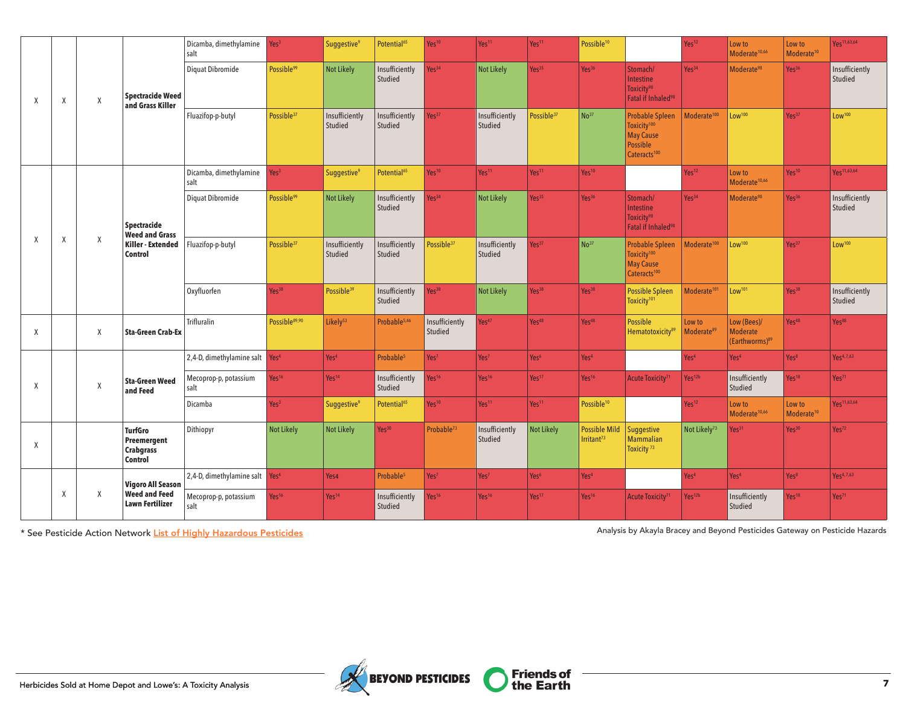|        |        |                                                |                                                              | Dicamba, dimethylamine<br>salt             | Yes <sup>3</sup>          | Suggestive <sup>9</sup>   | Potential <sup>65</sup>   | Yes <sup>10</sup>         | Yes <sup>11</sup>         | Yes <sup>11</sup>      | Possible <sup>10</sup>                                                                            |                                                                                                               | Yes <sup>12</sup>                | Low to<br>Moderate <sup>10,66</sup>                          | Low to<br>Moderate <sup>10</sup> | Yes <sup>11,63,64</sup>   |
|--------|--------|------------------------------------------------|--------------------------------------------------------------|--------------------------------------------|---------------------------|---------------------------|---------------------------|---------------------------|---------------------------|------------------------|---------------------------------------------------------------------------------------------------|---------------------------------------------------------------------------------------------------------------|----------------------------------|--------------------------------------------------------------|----------------------------------|---------------------------|
| X      | Χ      | χ                                              | <b>Spectracide Weed</b><br>and Grass Killer                  | Diquat Dibromide                           | Possible <sup>99</sup>    | Not Likely                | Insufficiently<br>Studied | Yes <sup>34</sup>         | <b>Not Likely</b>         | Yes <sup>35</sup>      | Yes <sup>36</sup>                                                                                 | Stomach/<br>Intestine<br>Toxicity <sup>98</sup><br>Fatal if Inhaled <sup>98</sup>                             | Yes <sup>34</sup>                | Moderate <sup>98</sup>                                       | Yes <sup>36</sup>                | Insufficiently<br>Studied |
|        |        |                                                |                                                              | Fluazifop-p-butyl                          | Possible <sup>37</sup>    | Insufficiently<br>Studied | Insufficiently<br>Studied | Yes <sup>37</sup>         | Insufficiently<br>Studied | Possible <sup>37</sup> | $N0$ <sup>37</sup>                                                                                | <b>Probable Spleen</b><br>Toxicity <sup>100</sup><br><b>May Cause</b><br>Possible<br>Cateracts <sup>100</sup> | Moderate <sup>100</sup>          | Low <sup>100</sup>                                           | Yes <sup>37</sup>                | Low <sup>100</sup>        |
|        |        |                                                |                                                              | Dicamba, dimethylamine<br>salt             | Yes <sup>3</sup>          | Suggestive <sup>9</sup>   | Potential <sup>65</sup>   | Yes <sup>10</sup>         | Yes <sup>11</sup>         | Yes <sup>11</sup>      | Yes <sup>10</sup>                                                                                 |                                                                                                               | Yes <sup>12</sup>                | Low to<br>Moderate <sup>10,66</sup>                          | Yes <sup>10</sup>                | Yes <sup>11,63,64</sup>   |
|        |        |                                                | Spectracide<br><b>Weed and Grass</b>                         | Diquat Dibromide                           | Possible <sup>99</sup>    | <b>Not Likely</b>         | Insufficiently<br>Studied | Yes <sup>34</sup>         | <b>Not Likely</b>         | Yes <sup>35</sup>      | Yes <sup>36</sup>                                                                                 | Stomach/<br>Intestine<br>Toxicity <sup>98</sup><br>Fatal if Inhaled <sup>98</sup>                             | Yes <sup>34</sup>                | Moderate <sup>98</sup>                                       | Yes <sup>36</sup>                | Insufficiently<br>Studied |
| X      | Χ<br>Χ | Killer - Extended<br>Control                   | Fluazifop-p-butyl                                            | Possible <sup>37</sup>                     | Insufficiently<br>Studied | Insufficiently<br>Studied | Possible <sup>37</sup>    | Insufficiently<br>Studied | Yes <sup>37</sup>         | $N0$ <sup>37</sup>     | <b>Probable Spleen</b><br>Toxicity <sup>100</sup><br><b>May Cause</b><br>Cateracts <sup>100</sup> | Moderate <sup>100</sup>                                                                                       | Low <sup>100</sup>               | Yes <sup>37</sup>                                            | Low <sup>100</sup>               |                           |
|        |        |                                                |                                                              | Oxyfluorfen                                | Yes <sup>38</sup>         | Possible <sup>39</sup>    | Insufficiently<br>Studied | Yes <sup>38</sup>         | <b>Not Likely</b>         | Yes <sup>38</sup>      | Yes <sup>38</sup>                                                                                 | <b>Possible Spleen</b><br>Toxicity <sup>101</sup>                                                             | Moderate <sup>101</sup>          | Low <sup>101</sup>                                           | Yes <sup>38</sup>                | Insufficiently<br>Studied |
| Χ      |        | Χ                                              | <b>Sta-Green Crab-Ex</b>                                     | Trifluralin                                | Possible89,90             | Likely <sup>53</sup>      | Probable <sup>5,46</sup>  | Insufficiently<br>Studied | Yes <sup>47</sup>         | Yes <sup>48</sup>      | Yes <sup>48</sup>                                                                                 | <b>Possible</b><br>Hematotoxicity <sup>89</sup>                                                               | Low to<br>Moderate <sup>89</sup> | Low (Bees)/<br><b>Moderate</b><br>(Earthworms) <sup>89</sup> | Yes <sup>48</sup>                | Yes <sup>88</sup>         |
|        |        |                                                |                                                              | 2,4-D, dimethylamine salt                  | Yes <sup>4</sup>          | Yes <sup>4</sup>          | Probable <sup>5</sup>     | Yes <sup>7</sup>          | Yes <sup>7</sup>          | Yes <sup>6</sup>       | Yes <sup>4</sup>                                                                                  |                                                                                                               | Yes <sup>4</sup>                 | Yes <sup>4</sup>                                             | Yes <sup>8</sup>                 | Yes <sup>4,7,63</sup>     |
| X      |        | Χ                                              | <b>Sta-Green Weed</b><br>and Feed                            | Mecoprop-p, potassium<br>salt              | Yes <sup>16</sup>         | Yes <sup>14</sup>         | Insufficiently<br>Studied | Yes <sup>16</sup>         | Yes <sup>16</sup>         | Yes <sup>17</sup>      | Yes <sup>16</sup>                                                                                 | Acute Toxicity <sup>71</sup>                                                                                  | Yes <sup>12b</sup>               | Insufficiently<br>Studied                                    | Yes <sup>18</sup>                | Yes <sup>71</sup>         |
|        |        |                                                |                                                              | Dicamba                                    | Yes <sup>3</sup>          | Suggestive <sup>9</sup>   | Potential <sup>65</sup>   | Yes <sup>10</sup>         | Yes <sup>11</sup>         | Yes <sup>11</sup>      | Possible <sup>10</sup>                                                                            |                                                                                                               | Yes <sup>12</sup>                | Low to<br>Moderate <sup>10,66</sup>                          | Low to<br>Moderate <sup>10</sup> | Yes <sup>11,63,64</sup>   |
| $\chi$ |        |                                                | <b>TurfGro</b><br>Preemergent<br><b>Crabgrass</b><br>Control | Dithiopyr                                  | Not Likely                | Not Likely                | Yes <sup>30</sup>         | Probable <sup>73</sup>    | Insufficiently<br>Studied | Not Likely             | <b>Possible Mild</b><br>Irritant <sup>73</sup>                                                    | Suggestive<br><b>Mammalian</b><br>Toxicity <sup>73</sup>                                                      | Not Likely <sup>73</sup>         | Yes <sup>31</sup>                                            | Yes <sup>30</sup>                | Yes <sup>72</sup>         |
|        |        |                                                | <b>Vigoro All Season</b>                                     | 2,4-D, dimethylamine salt Yes <sup>4</sup> |                           | Yes4                      | Probable <sup>5</sup>     | Yes <sup>7</sup>          | Yes <sup>7</sup>          | Yes <sup>6</sup>       | Yes <sup>4</sup>                                                                                  |                                                                                                               | Yes <sup>4</sup>                 | Yes <sup>4</sup>                                             | Yes <sup>8</sup>                 | Yes <sup>4,7,63</sup>     |
|        | Χ<br>Χ | <b>Weed and Feed</b><br><b>Lawn Fertilizer</b> | Mecoprop-p, potassium<br>salt                                | Yes <sup>16</sup>                          | Yes <sup>14</sup>         | Insufficiently<br>Studied | Yes <sup>16</sup>         | Yes <sup>16</sup>         | Yes <sup>17</sup>         | Yes <sup>16</sup>      | Acute Toxicity <sup>71</sup>                                                                      | Yes <sup>12b</sup>                                                                                            | Insufficiently<br>Studied        | Yes <sup>18</sup>                                            | Yes <sup>71</sup>                |                           |

\* See Pesticide Action Network [List of Highly Hazardous Pesticides](http://pan-international.org/wp-content/uploads/PAN_HHP_List.pdf) Analysis by Akayla Bracey and Beyond Pesticides Gateway on Pesticide Hazards

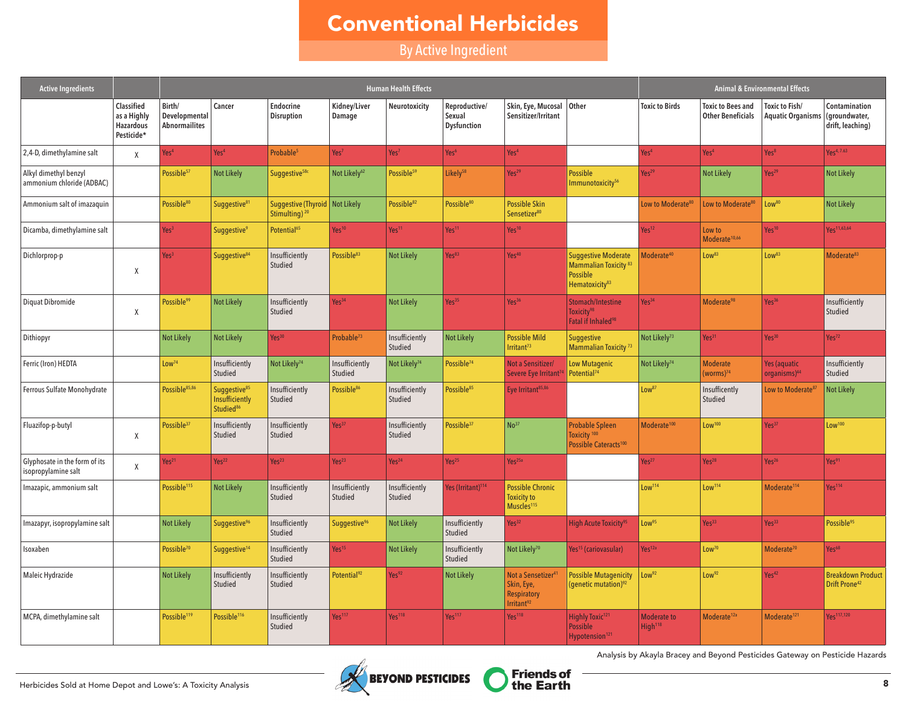# Conventional Herbicides

By Active Ingredient

| <b>Active Ingredients</b>                            |                                                                    |                                                 |                                                                     |                                                               |                           | <b>Human Health Effects</b> |                                               |                                                                                             |                                                                                                          |                                           |                                                      | <b>Animal &amp; Environmental Effects</b>  |                                                       |
|------------------------------------------------------|--------------------------------------------------------------------|-------------------------------------------------|---------------------------------------------------------------------|---------------------------------------------------------------|---------------------------|-----------------------------|-----------------------------------------------|---------------------------------------------------------------------------------------------|----------------------------------------------------------------------------------------------------------|-------------------------------------------|------------------------------------------------------|--------------------------------------------|-------------------------------------------------------|
|                                                      | <b>Classified</b><br>as a Highly<br><b>Hazardous</b><br>Pesticide* | Birth/<br>Developmental<br><b>Abnormailites</b> | Cancer                                                              | <b>Endocrine</b><br><b>Disruption</b>                         | Kidney/Liver<br>Damage    | Neurotoxicity               | Reproductive/<br>Sexual<br><b>Dysfunction</b> | Skin, Eye, Mucosal   Other<br>Sensitizer/Irritant                                           |                                                                                                          | <b>Toxic to Birds</b>                     | <b>Toxic to Bees and</b><br><b>Other Beneficials</b> | Toxic to Fish/<br><b>Aquatic Organisms</b> | Contamination<br>(groundwater,<br>drift, leaching)    |
| 2,4-D, dimethylamine salt                            | X                                                                  | Yes <sup>4</sup>                                | Yes <sup>4</sup>                                                    | Probable <sup>5</sup>                                         | Yes <sup>7</sup>          | Yes <sup>7</sup>            | Yes <sup>6</sup>                              | Yes <sup>4</sup>                                                                            |                                                                                                          | Yes <sup>4</sup>                          | Yes <sup>4</sup>                                     | Yes <sup>8</sup>                           | Yes <sup>4, 7.63</sup>                                |
| Alkyl dimethyl benzyl<br>ammonium chloride (ADBAC)   |                                                                    | Possible <sup>57</sup>                          | <b>Not Likely</b>                                                   | Suggestive <sup>58c</sup>                                     | Not Likely <sup>62</sup>  | Possible <sup>59</sup>      | Likely <sup>58</sup>                          | Yes <sup>29</sup>                                                                           | <b>Possible</b><br>Immunotoxicity <sup>56</sup>                                                          | Yes <sup>29</sup>                         | <b>Not Likely</b>                                    | Yes <sup>29</sup>                          | <b>Not Likely</b>                                     |
| Ammonium salt of imazaquin                           |                                                                    | Possible <sup>80</sup>                          | Suggestive <sup>81</sup>                                            | Suggestive (Thyroid   Not Likely<br>Stimulting) <sup>20</sup> |                           | Possible <sup>82</sup>      | Possible <sup>80</sup>                        | <b>Possible Skin</b><br>Sensetizer <sup>80</sup>                                            |                                                                                                          | Low to Moderate <sup>80</sup>             | Low to Moderate <sup>80</sup>                        | Low <sup>80</sup>                          | <b>Not Likely</b>                                     |
| Dicamba, dimethylamine salt                          |                                                                    | Yes <sup>3</sup>                                | <b>Suggestive<sup>9</sup></b>                                       | Potential <sup>65</sup>                                       | Yes <sup>10</sup>         | Yes <sup>11</sup>           | Yes <sup>11</sup>                             | Yes <sup>10</sup>                                                                           |                                                                                                          | Yes <sup>12</sup>                         | Low to<br>Moderate <sup>10,66</sup>                  | Yes <sup>10</sup>                          | Yes <sup>11,63,64</sup>                               |
| Dichlorprop-p                                        | Χ                                                                  | Yes <sup>3</sup>                                | Suggestive <sup>84</sup>                                            | Insufficiently<br>Studied                                     | Possible <sup>83</sup>    | Not Likely                  | Yes <sup>83</sup>                             | Yes <sup>40</sup>                                                                           | <b>Suggestive Moderate</b><br>Mammalian Toxicity <sup>83</sup><br>Possible<br>Hematoxicity <sup>83</sup> | Moderate <sup>40</sup>                    | Low <sup>83</sup>                                    | Low <sup>83</sup>                          | Moderate <sup>83</sup>                                |
| Diquat Dibromide                                     | X                                                                  | Possible <sup>99</sup>                          | <b>Not Likely</b>                                                   | Insufficiently<br>Studied                                     | Yes <sup>34</sup>         | <b>Not Likely</b>           | Yes <sup>35</sup>                             | Yes <sup>36</sup>                                                                           | Stomach/Intestine<br>Toxicity <sup>98</sup><br>Fatal if Inhaled <sup>98</sup>                            | Yes <sup>34</sup>                         | Moderate <sup>98</sup>                               | Yes <sup>36</sup>                          | Insufficiently<br>Studied                             |
| Dithiopyr                                            |                                                                    | <b>Not Likely</b>                               | <b>Not Likely</b>                                                   | Yes <sup>30</sup>                                             | Probable <sup>73</sup>    | Insufficiently<br>Studied   | <b>Not Likely</b>                             | <b>Possible Mild</b><br>Irritan <sup>73</sup>                                               | <b>Suggestive</b><br>Mammalian Toxicity <sup>73</sup>                                                    | Not Likely <sup>73</sup>                  | Yes <sup>31</sup>                                    | Yes <sup>30</sup>                          | Yes <sup>72</sup>                                     |
| Ferric (Iron) HEDTA                                  |                                                                    | Low <sup>74</sup>                               | Insufficiently<br>Studied                                           | Not Likely <sup>74</sup>                                      | Insufficiently<br>Studied | Not Likely <sup>74</sup>    | Possible <sup>74</sup>                        | Not a Sensitizer/<br>Severe Eye Irritant <sup>7</sup>                                       | Low Mutagenic<br>Potential <sup>74</sup>                                                                 | Not Likely <sup>74</sup>                  | <b>Moderate</b><br>(worms) <sup>74</sup>             | Yes (aquatic<br>organisms) <sup>44</sup>   | Insufficiently<br>Studied                             |
| Ferrous Sulfate Monohydrate                          |                                                                    | Possible85,86                                   | Suggestive <sup>85</sup><br>Insufficiently<br>Studied <sup>86</sup> | Insufficiently<br>Studied                                     | Possible <sup>86</sup>    | Insufficiently<br>Studied   | Possible <sup>85</sup>                        | Eye Irritant <sup>85,86</sup>                                                               |                                                                                                          | Low <sup>87</sup>                         | Insufficently<br>Studied                             | Low to Moderate <sup>87</sup>              | <b>Not Likely</b>                                     |
| Fluazifop-p-butyl                                    | X                                                                  | Possible <sup>37</sup>                          | Insufficiently<br>Studied                                           | Insufficiently<br>Studied                                     | Yes <sup>37</sup>         | Insufficiently<br>Studied   | Possible <sup>37</sup>                        | No <sup>37</sup>                                                                            | <b>Probable Spleen</b><br>Toxicity <sup>100</sup><br>Possible Cateracts <sup>100</sup>                   | Moderate <sup>100</sup>                   | Low <sup>100</sup>                                   | Yes <sup>37</sup>                          | Low <sup>100</sup>                                    |
| Glyphosate in the form of its<br>isopropylamine salt | X                                                                  | Yes <sup>21</sup>                               | Yes <sup>22</sup>                                                   | Yes <sup>23</sup>                                             | Yes <sup>23</sup>         | Yes <sup>24</sup>           | Yes <sup>25</sup>                             | Yes <sup>25a</sup>                                                                          |                                                                                                          | Yes <sup>27</sup>                         | Yes <sup>28</sup>                                    | Yes <sup>26</sup>                          | Yes <sup>91</sup>                                     |
| Imazapic, ammonium salt                              |                                                                    | Possible <sup>115</sup>                         | <b>Not Likely</b>                                                   | Insufficiently<br>Studied                                     | Insufficiently<br>Studied | Insufficiently<br>Studied   | Yes (Irritant) <sup>114</sup>                 | <b>Possible Chronic</b><br><b>Toxicity to</b><br>Muscles <sup>115</sup>                     |                                                                                                          | Low <sup>114</sup>                        | Low <sup>114</sup>                                   | Moderate <sup>114</sup>                    | Yes <sup>114</sup>                                    |
| Imazapyr, isopropylamine salt                        |                                                                    | Not Likely                                      | Suggestive <sup>96</sup>                                            | Insufficiently<br>Studied                                     | Suggestive <sup>96</sup>  | <b>Not Likely</b>           | Insufficiently<br>Studied                     | Yes <sup>32</sup>                                                                           | <b>High Acute Toxicity<sup>95</sup></b>                                                                  | Low <sup>95</sup>                         | Yes <sup>33</sup>                                    | Yes <sup>33</sup>                          | Possible <sup>95</sup>                                |
| Isoxaben                                             |                                                                    | Possible <sup>70</sup>                          | Suggestive <sup>14</sup>                                            | Insufficiently<br>Studied                                     | Yes <sup>15</sup>         | <b>Not Likely</b>           | Insufficiently<br>Studied                     | Not Likely <sup>70</sup>                                                                    | Yes <sup>15</sup> (cariovasular)                                                                         | Yes <sup>12a</sup>                        | Low <sup>70</sup>                                    | Moderate <sup>70</sup>                     | Yes <sup>68</sup>                                     |
| Maleic Hydrazide                                     |                                                                    | <b>Not Likely</b>                               | Insufficiently<br>Studied                                           | Insufficiently<br>Studied                                     | Potential <sup>92</sup>   | Yes <sup>92</sup>           | <b>Not Likely</b>                             | Not a Sensetizer <sup>4</sup><br>Skin, Eye,<br><b>Respiratory</b><br>Irritant <sup>92</sup> | <b>Possible Mutagenicity</b><br>(genetic mutation) <sup>92</sup>                                         | Low <sup>92</sup>                         | Low <sup>92</sup>                                    | Yes <sup>42</sup>                          | <b>Breakdown Product</b><br>Drift Prone <sup>42</sup> |
| MCPA, dimethylamine salt                             |                                                                    | Possible <sup>119</sup>                         | Possible <sup>116</sup>                                             | Insufficiently<br>Studied                                     | Yes <sup>117</sup>        | Yes <sup>118</sup>          | Yes <sup>117</sup>                            | Yes <sup>118</sup>                                                                          | Highly Toxic <sup>121</sup><br><b>Possible</b><br>Hypotension <sup>121</sup>                             | <b>Moderate to</b><br>High <sup>118</sup> | Moderate <sup>12a</sup>                              | Moderate <sup>121</sup>                    | Yes <sup>117,120</sup>                                |

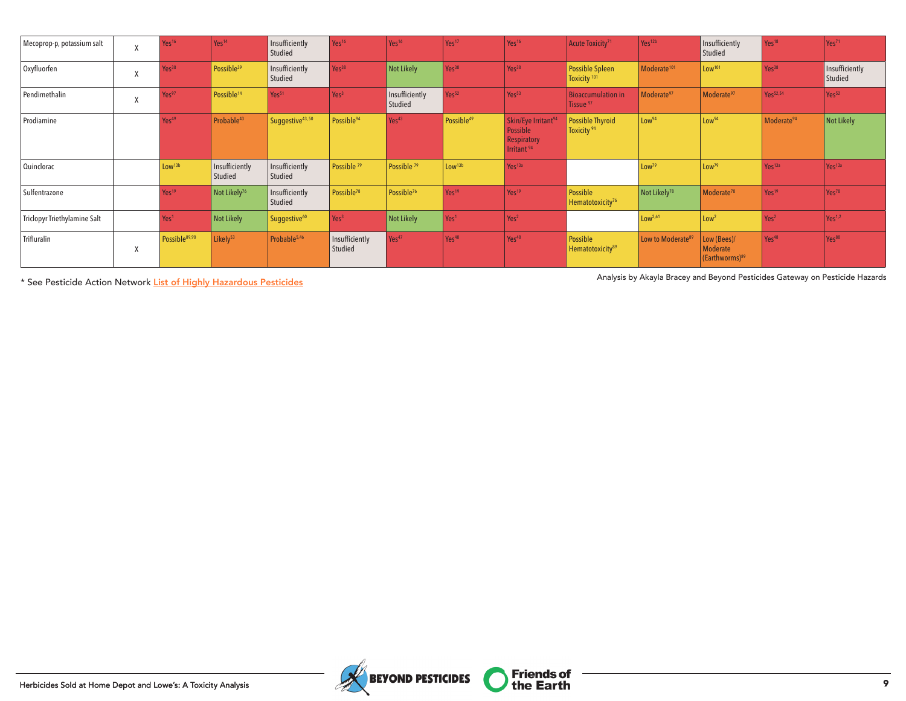| Mecoprop-p, potassium salt   | $\mathbf{v}$<br>$\Lambda$ | Yes <sup>16</sup>         | Yes <sup>14</sup>         | Insufficiently<br>Studied | Yes <sup>16</sup>         | Yes <sup>16</sup>         | Yes <sup>17</sup>      | Yes <sup>16</sup>                                                                           | Acute Toxicity <sup>71</sup>                      | Yes <sup>12b</sup>            | Insufficiently<br>Studied                             | Yes <sup>18</sup>      | Yes <sup>71</sup>         |
|------------------------------|---------------------------|---------------------------|---------------------------|---------------------------|---------------------------|---------------------------|------------------------|---------------------------------------------------------------------------------------------|---------------------------------------------------|-------------------------------|-------------------------------------------------------|------------------------|---------------------------|
| Oxyfluorfen                  | $\mathbf{v}$              | Yes <sup>38</sup>         | Possible <sup>39</sup>    | Insufficiently<br>Studied | Yes <sup>38</sup>         | Not Likely                | Yes <sup>38</sup>      | $Yes^{38}$                                                                                  | <b>Possible Spleen</b><br>Toxicity <sup>101</sup> | Moderate <sup>101</sup>       | Low <sup>101</sup>                                    | Yes <sup>38</sup>      | Insufficiently<br>Studied |
| Pendimethalin                | $\Lambda$                 | Yes97                     | Possible <sup>14</sup>    | Yes <sup>51</sup>         | Yes <sup>3</sup>          | Insufficiently<br>Studied | Yes <sup>52</sup>      | Yes <sup>53</sup>                                                                           | <b>Bioaccumulation in</b><br>Tissue <sup>97</sup> | Moderate <sup>97</sup>        | Moderate <sup>97</sup>                                | Yes <sup>52,54</sup>   | Yes <sup>52</sup>         |
| Prodiamine                   |                           | Yes <sup>49</sup>         | Probable <sup>43</sup>    | Suggestive43,50           | Possible <sup>94</sup>    | Yes <sup>43</sup>         | Possible <sup>49</sup> | Skin/Eye Irritant <sup>94</sup><br>Possible<br><b>Respiratory</b><br>Irritant <sup>94</sup> | Possible Thyroid<br>Toxicity <sup>94</sup>        | Low <sup>94</sup>             | Low <sup>94</sup>                                     | Moderate <sup>94</sup> | <b>Not Likely</b>         |
| Quinclorac                   |                           | Low <sup>13b</sup>        | Insufficiently<br>Studied | Insufficiently<br>Studied | Possible <sup>79</sup>    | Possible <sup>79</sup>    | Low <sup>13b</sup>     | Yes <sup>13a</sup>                                                                          |                                                   | Low <sup>79</sup>             | Low <sup>79</sup>                                     | Yes <sup>13a</sup>     | Yes <sup>13a</sup>        |
| Sulfentrazone                |                           | Yes <sup>19</sup>         | Not Likely <sup>76</sup>  | Insufficiently<br>Studied | Possible <sup>78</sup>    | Possible <sup>76</sup>    | Yes <sup>19</sup>      | Yes <sup>19</sup>                                                                           | Possible<br>Hematotoxicity <sup>76</sup>          | Not Likely <sup>78</sup>      | Moderate <sup>78</sup>                                | Yes <sup>19</sup>      | Yes <sup>78</sup>         |
| Triclopyr Triethylamine Salt |                           | Yes <sup>1</sup>          | Not Likely                | Suggestive <sup>60</sup>  | Yes <sup>3</sup>          | Not Likely                | Yes <sup>1</sup>       | Yes <sup>2</sup>                                                                            |                                                   | Low <sup>2,61</sup>           | Low <sup>2</sup>                                      | Yes <sup>2</sup>       | Yes <sup>1,2</sup>        |
| Trifluralin                  | $\Lambda$                 | Possible <sup>89,90</sup> | Likely <sup>53</sup>      | Probable <sup>5,46</sup>  | Insufficiently<br>Studied | Yes <sup>47</sup>         | Yes <sup>48</sup>      | Yes <sup>48</sup>                                                                           | Possible<br>Hematotoxicity <sup>89</sup>          | Low to Moderate <sup>89</sup> | Low (Bees)/<br>Moderate<br>(Earthworms) <sup>89</sup> | Yes <sup>48</sup>      | Yes <sup>88</sup>         |

\* See Pesticide Action Network [List of Highly Hazardous Pesticides](http://pan-international.org/wp-content/uploads/PAN_HHP_List.pdf) Analysis by Akayla Bracey and Beyond Pesticides Gateway on Pesticide Hazards

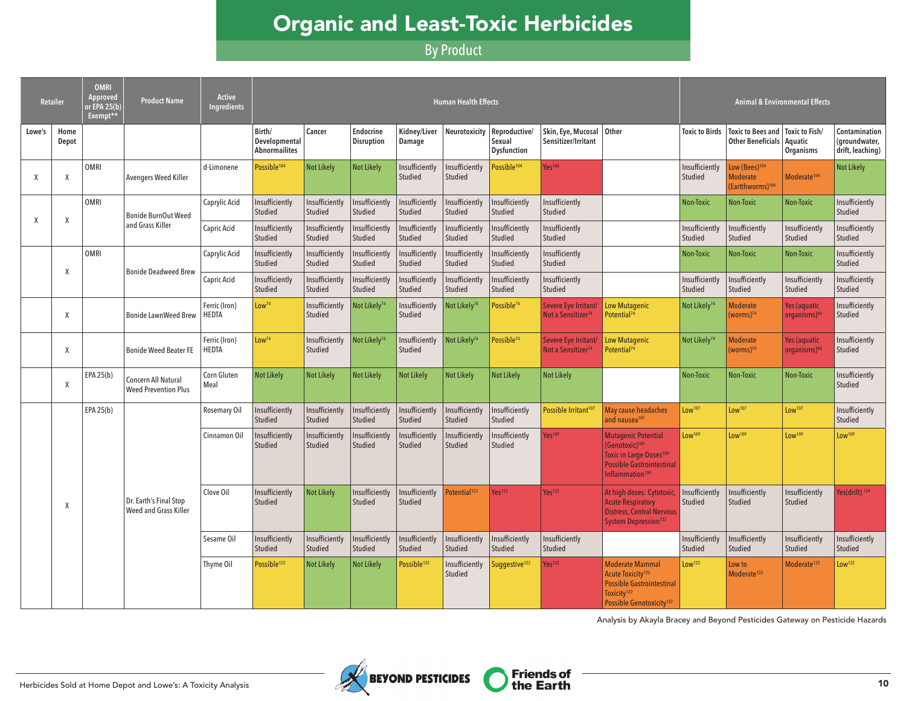# Organic and Least-Toxic Herbicides

# By Product

|        | <b>Retailer</b> | <b>OMRI</b><br>Approved<br>or EPA 25(b)<br>Exempt** | <b>Product Name</b>                                | <b>Active</b><br><b>Ingredients</b> |                                                 |                           |                                       |                           | <b>Human Health Effects</b> |                                               |                                                                                                                              |                                                                                                                                                                      |                           |                                                                              | <b>Animal &amp; Environmental Effects</b>       |                                                    |
|--------|-----------------|-----------------------------------------------------|----------------------------------------------------|-------------------------------------|-------------------------------------------------|---------------------------|---------------------------------------|---------------------------|-----------------------------|-----------------------------------------------|------------------------------------------------------------------------------------------------------------------------------|----------------------------------------------------------------------------------------------------------------------------------------------------------------------|---------------------------|------------------------------------------------------------------------------|-------------------------------------------------|----------------------------------------------------|
| Lowe's | Home<br>Depot   |                                                     |                                                    |                                     | Birth/<br>Developmental<br><b>Abnormailites</b> | Cancer                    | <b>Endocrine</b><br><b>Disruption</b> | Kidney/Liver<br>Damage    | Neurotoxicity               | Reproductive/<br>Sexual<br><b>Dysfunction</b> | Skin, Eye, Mucosal Other<br>Sensitizer/Irritant                                                                              |                                                                                                                                                                      | <b>Toxic to Birds</b>     | Toxic to Bees and   Toxic to Fish/<br>Other Beneficials                      | Aquatic<br>Organisms                            | Contamination<br>(groundwater,<br>drift, leaching) |
| X      | X               | OMRI                                                | <b>Avengers Weed Killer</b>                        | d-Limonene                          | Possible <sup>104</sup>                         | <b>Not Likely</b>         | <b>Not Likely</b>                     | Insufficiently<br>Studied | Insufficiently<br>Studied   | Possible <sup>104</sup>                       | Yes <sup>104</sup>                                                                                                           |                                                                                                                                                                      | Insufficiently<br>Studied | Low (Bees) <sup>104</sup><br><b>Moderate</b><br>(Eartthworms) <sup>104</sup> | Moderate <sup>104</sup>                         | Not Likely                                         |
| X      | X               | OMRI                                                | <b>Bonide BurnOut Weed</b>                         | Caprylic Acid                       | Insufficiently<br>Studied                       | Insufficiently<br>Studied | Insufficiently<br>Studied             | Insufficiently<br>Studied | Insufficiently<br>Studied   | Insufficiently<br>Studied                     | Insufficiently<br>Studied                                                                                                    |                                                                                                                                                                      | <b>Non-Toxic</b>          | Non-Toxic                                                                    | Non-Toxic                                       | Insufficiently<br><b>Studied</b>                   |
|        |                 |                                                     | and Grass Killer                                   | Capric Acid                         | Insufficiently<br>Studied                       | Insufficiently<br>Studied | Insufficiently<br>Studied             | Insufficiently<br>Studied | Insufficiently<br>Studied   | Insufficiently<br>Studied                     | Insufficiently<br>Studied                                                                                                    |                                                                                                                                                                      | Insufficiently<br>Studied | Insufficiently<br>Studied                                                    | Insufficiently<br>Studied                       | Insufficiently<br>Studied                          |
|        | $\chi$          | OMRI                                                | <b>Bonide Deadweed Brew</b>                        | Caprylic Acid                       | Insufficiently<br>Studied                       | Insufficiently<br>Studied | Insufficiently<br>Studied             | Insufficiently<br>Studied | Insufficiently<br>Studied   | Insufficiently<br>Studied                     | Insufficiently<br>Studied                                                                                                    |                                                                                                                                                                      | Non-Toxic                 | Non-Toxic                                                                    | Non-Toxic                                       | Insufficiently<br><b>Studied</b>                   |
|        |                 |                                                     |                                                    | Capric Acid                         | Insufficiently<br>Studied                       | Insufficiently<br>Studied | Insufficiently<br>Studied             | Insufficiently<br>Studied | Insufficiently<br>Studied   | Insufficiently<br>Studied                     | Insufficiently<br>Studied                                                                                                    |                                                                                                                                                                      | Insufficiently<br>Studied | Insufficiently<br>Studied                                                    | Insufficiently<br>Studied                       | Insufficiently<br>Studied                          |
|        | Χ               |                                                     | <b>Bonide LawnWeed Brew</b>                        | Ferric (Iron)<br><b>HEDTA</b>       | Low <sup>74</sup>                               | Insufficiently<br>Studied | Not Likely <sup>74</sup>              | Insufficiently<br>Studied | Not Likely <sup>74</sup>    | Possible <sup>74</sup>                        | Severe Eye Irritant/<br>Not a Sensitizer <sup>74</sup>                                                                       | <b>Low Mutagenic</b><br>Potential <sup>74</sup>                                                                                                                      | Not Likely <sup>74</sup>  | <b>Moderate</b><br>(worms) <sup>74</sup>                                     | <b>Yes (aquatic</b><br>organisms) <sup>44</sup> | Insufficiently<br>Studied                          |
|        | $\chi$          |                                                     | <b>Bonide Weed Beater FE</b>                       | Ferric (Iron)<br><b>HEDTA</b>       | Low <sup>74</sup>                               | Insufficiently<br>Studied | Not Likely <sup>74</sup>              | Insufficiently<br>Studied | Not Likely <sup>74</sup>    | Possible <sup>74</sup>                        | Severe Eye Irritant/<br>Not a Sensitizer <sup>74</sup>                                                                       | Low Mutagenic<br>Potential <sup>74</sup>                                                                                                                             | Not Likely <sup>74</sup>  | <b>Moderate</b><br>(worms) <sup>74</sup>                                     | Yes (aquatic<br>organisms) <sup>44</sup>        | Insufficiently<br>Studied                          |
|        | X               | EPA 25(b)                                           | Concern All Natural<br><b>Weed Prevention Plus</b> | Corn Gluten<br>Meal                 | <b>Not Likely</b>                               | <b>Not Likely</b>         | <b>Not Likely</b>                     | <b>Not Likely</b>         | <b>Not Likely</b>           | <b>Not Likely</b>                             | <b>Not Likely</b>                                                                                                            |                                                                                                                                                                      | <b>Non-Toxic</b>          | Non-Toxic                                                                    | Non-Toxic                                       | Insufficiently<br>Studied                          |
|        |                 | EPA 25(b)                                           |                                                    | Rosemary Oil                        | Insufficiently<br>Studied                       | Insufficiently<br>Studied | Insufficiently<br>Studied             | Insufficiently<br>Studied | Insufficiently<br>Studied   | Insufficiently<br>Studied                     | Possible Irritant <sup>107</sup>                                                                                             | May cause headaches<br>and nausea <sup>107</sup>                                                                                                                     | Low <sup>107</sup>        | Low <sup>107</sup>                                                           | Low <sup>107</sup>                              | Insufficiently<br>Studied                          |
|        |                 |                                                     |                                                    | Cinnamon Oil                        | Insufficiently<br>Studied                       | Insufficiently<br>Studied | Insufficiently<br>Studied             | Insufficiently<br>Studied | Insufficiently<br>Studied   | Insufficiently<br><b>Studied</b>              | Yes <sup>109</sup>                                                                                                           | <b>Mutagenic Potential</b><br>(Genotoxic) <sup>109</sup><br><b>Toxic in Large Doses109</b><br><b>Possible Gastrointestinal</b><br>Inflammation <sup>109</sup>        | Low <sup>109</sup>        | Low <sup>109</sup>                                                           | Low <sup>109</sup>                              | Low <sup>109</sup>                                 |
|        | X               | Dr. Earth's Final Stop<br>Weed and Grass Killer     | Clove Oil                                          | Insufficiently<br>Studied           | <b>Not Likely</b>                               | Insufficiently<br>Studied | Insufficiently<br>Studied             | Potential <sup>123</sup>  | Yes <sup>123</sup>          | Yes <sup>123</sup>                            | At high doses: Cytotoxic<br><b>Acute Respiratory</b><br><b>Distress, Central Nervous</b><br>System Depression <sup>123</sup> | Insufficiently<br>Studied                                                                                                                                            | Insufficiently<br>Studied | Insufficiently<br>Studied                                                    | Yes(drift) <sup>124</sup>                       |                                                    |
|        |                 |                                                     |                                                    | Sesame Oil                          | Insufficiently<br>Studied                       | Insufficiently<br>Studied | Insufficiently<br>Studied             | Insufficiently<br>Studied | Insufficiently<br>Studied   | Insufficiently<br><b>Studied</b>              | Insufficiently<br>Studied                                                                                                    |                                                                                                                                                                      | Insufficiently<br>Studied | Insufficiently<br>Studied                                                    | Insufficiently<br>Studied                       | Insufficiently<br>Studied                          |
|        |                 |                                                     |                                                    | Thyme Oil                           | Possible <sup>122</sup>                         | <b>Not Likely</b>         | <b>Not Likely</b>                     | Possible <sup>122</sup>   | Insufficiently<br>Studied   | Suggestive <sup>122</sup>                     | Yes <sup>122</sup>                                                                                                           | <b>Moderate Mammal</b><br><b>Acute Toxicity<sup>122</sup></b><br><b>Possible Gastrointestinal</b><br>Toxicity <sup>122</sup><br>Possible Genotoxicity <sup>122</sup> | Low <sup>122</sup>        | Low to<br>Moderate <sup>122</sup>                                            | Moderate <sup>122</sup>                         | Low <sup>122</sup>                                 |

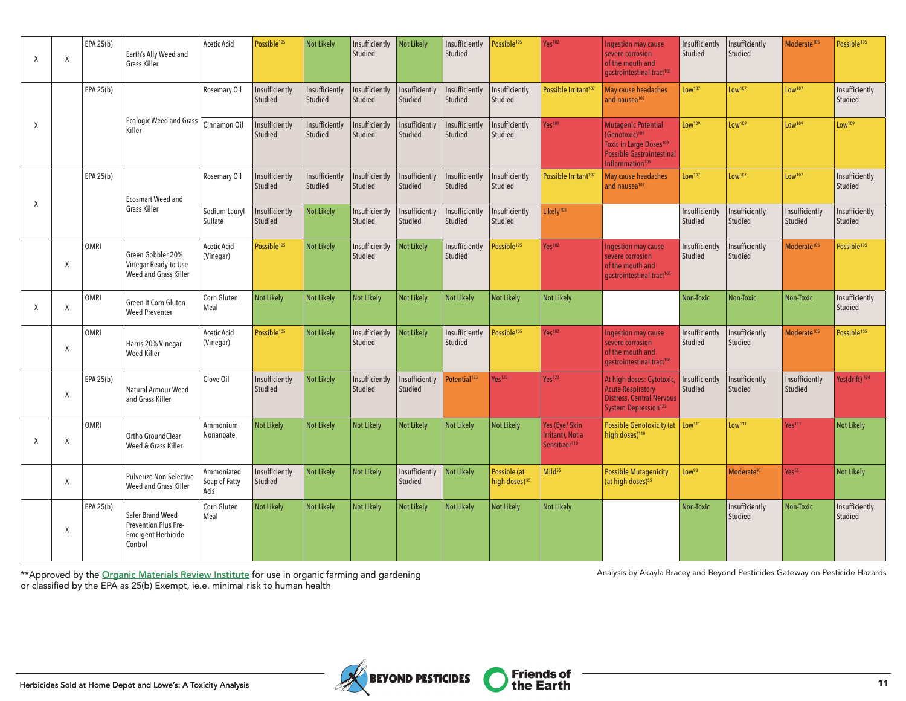| Χ | $\chi$ | EPA 25(b) | Earth's Ally Weed and<br>Grass Killer                                            | <b>Acetic Acid</b>                  | Possible <sup>105</sup>   | <b>Not Likely</b>         | Insufficiently<br>Studied | <b>Not Likely</b>                | Insufficiently<br>Studied | Possible <sup>105</sup>                   | Yes <sup>102</sup>                                              | <b>Ingestion may cause</b><br>severe corrosion<br>of the mouth and<br>gastrointestinal tract <sup>105</sup>                                                        | Insufficiently<br>Studied | Insufficiently<br>Studied | Moderate <sup>105</sup>   | Possible <sup>105</sup>   |
|---|--------|-----------|----------------------------------------------------------------------------------|-------------------------------------|---------------------------|---------------------------|---------------------------|----------------------------------|---------------------------|-------------------------------------------|-----------------------------------------------------------------|--------------------------------------------------------------------------------------------------------------------------------------------------------------------|---------------------------|---------------------------|---------------------------|---------------------------|
|   |        | EPA 25(b) |                                                                                  | Rosemary Oil                        | Insufficiently<br>Studied | Insufficiently<br>Studied | Insufficiently<br>Studied | Insufficiently<br>Studied        | Insufficiently<br>Studied | Insufficiently<br>Studied                 | Possible Irritant <sup>107</sup>                                | May cause headaches<br>and nausea <sup>107</sup>                                                                                                                   | Low <sup>107</sup>        | Low <sup>107</sup>        | Low <sup>107</sup>        | Insufficiently<br>Studied |
| X |        |           | <b>Ecologic Weed and Grass</b><br>Killer                                         | Cinnamon Oil                        | Insufficiently<br>Studied | Insufficiently<br>Studied | Insufficiently<br>Studied | Insufficiently<br>Studied        | Insufficiently<br>Studied | Insufficiently<br>Studied                 | Yes <sup>109</sup>                                              | <b>Mutagenic Potential</b><br>(Genotoxic) <sup>109</sup><br>Toxic in Large Doses <sup>109</sup><br><b>Possible Gastrointestinal</b><br>Inflammation <sup>109</sup> | Low <sup>109</sup>        | Low <sup>109</sup>        | Low <sup>109</sup>        | Low <sup>109</sup>        |
| X |        | EPA 25(b) | <b>Ecosmart Weed and</b>                                                         | Rosemary Oil                        | Insufficiently<br>Studied | Insufficiently<br>Studied | Insufficiently<br>Studied | Insufficiently<br><b>Studied</b> | Insufficiently<br>Studied | Insufficiently<br>Studied                 | Possible Irritant <sup>107</sup>                                | May cause headaches<br>and nausea <sup>107</sup>                                                                                                                   | Low <sup>107</sup>        | Low <sup>107</sup>        | Low <sup>107</sup>        | Insufficiently<br>Studied |
|   |        |           | Grass Killer                                                                     | Sodium Lauryl<br>Sulfate            | Insufficiently<br>Studied | <b>Not Likely</b>         | Insufficiently<br>Studied | Insufficiently<br>Studied        | Insufficiently<br>Studied | Insufficiently<br>Studied                 | Likelv <sup>108</sup>                                           |                                                                                                                                                                    | Insufficiently<br>Studied | Insufficiently<br>Studied | Insufficiently<br>Studied | Insufficiently<br>Studied |
|   | X      | OMRI      | Green Gobbler 20%<br>Vinegar Ready-to-Use<br>Weed and Grass Killer               | <b>Acetic Acid</b><br>(Vinegar)     | Possible <sup>105</sup>   | <b>Not Likely</b>         | Insufficiently<br>Studied | <b>Not Likely</b>                | Insufficiently<br>Studied | Possible <sup>105</sup>                   | Yes <sup>102</sup>                                              | <b>Ingestion may cause</b><br>severe corrosion<br>of the mouth and<br>gastrointestinal tract <sup>105</sup>                                                        | Insufficiently<br>Studied | Insufficiently<br>Studied | Moderate <sup>105</sup>   | Possible <sup>105</sup>   |
| X | X      | OMRI      | Green It Corn Gluten<br><b>Weed Preventer</b>                                    | Corn Gluten<br>Meal                 | <b>Not Likely</b>         | <b>Not Likely</b>         | <b>Not Likely</b>         | <b>Not Likely</b>                | <b>Not Likely</b>         | <b>Not Likely</b>                         | <b>Not Likely</b>                                               |                                                                                                                                                                    | Non-Toxic                 | Non-Toxic                 | Non-Toxic                 | Insufficiently<br>Studied |
|   | X      | OMRI      | Harris 20% Vinegar<br>Weed Killer                                                | <b>Acetic Acid</b><br>(Vinegar)     | Possible <sup>105</sup>   | <b>Not Likely</b>         | Insufficiently<br>Studied | <b>Not Likely</b>                | Insufficiently<br>Studied | Possible <sup>105</sup>                   | Yes <sup>102</sup>                                              | <b>Ingestion may cause</b><br>severe corrosion<br>of the mouth and<br>gastrointestinal tract <sup>105</sup>                                                        | Insufficiently<br>Studied | Insufficiently<br>Studied | Moderate <sup>105</sup>   | Possible <sup>105</sup>   |
|   | $\chi$ | EPA 25(b) | Natural Armour Weed<br>and Grass Killer                                          | Clove Oil                           | Insufficiently<br>Studied | <b>Not Likely</b>         | Insufficiently<br>Studied | Insufficiently<br>Studied        | Potential <sup>123</sup>  | Yes <sup>123</sup>                        | Yes <sup>123</sup>                                              | At high doses: Cytotoxic,<br><b>Acute Respiratory</b><br><b>Distress, Central Nervous</b><br>System Depression <sup>123</sup>                                      | Insufficiently<br>Studied | Insufficiently<br>Studied | Insufficiently<br>Studied | Yes(drift) <sup>124</sup> |
| Χ | $\chi$ | OMRI      | Ortho GroundClear<br>Weed & Grass Killer                                         | Ammonium<br>Nonanoate               | <b>Not Likely</b>         | <b>Not Likely</b>         | <b>Not Likely</b>         | <b>Not Likely</b>                | <b>Not Likely</b>         | <b>Not Likely</b>                         | Yes (Eye/ Skin<br>Irritant), Not a<br>Sensitizer <sup>110</sup> | <b>Possible Genotoxicity (at</b><br>high doses) <sup>110</sup>                                                                                                     | Low <sup>111</sup>        | Low <sup>111</sup>        | Yes <sup>111</sup>        | <b>Not Likely</b>         |
|   | Χ      |           | <b>Pulverize Non-Selective</b><br>Weed and Grass Killer                          | Ammoniated<br>Soap of Fatty<br>Acis | Insufficiently<br>Studied | <b>Not Likely</b>         | <b>Not Likely</b>         | Insufficiently<br><b>Studied</b> | <b>Not Likely</b>         | Possible (at<br>high doses) <sup>55</sup> | Mild <sup>55</sup>                                              | <b>Possible Mutagenicity</b><br>(at high doses) <sup>55</sup>                                                                                                      | Low <sup>93</sup>         | Moderate <sup>93</sup>    | Yes <sup>55</sup>         | <b>Not Likely</b>         |
|   | X      | EPA 25(b) | Safer Brand Weed<br>Prevention Plus Pre-<br><b>Emergent Herbicide</b><br>Control | Corn Gluten<br>Meal                 | <b>Not Likely</b>         | <b>Not Likely</b>         | <b>Not Likely</b>         | Not Likely                       | <b>Not Likely</b>         | <b>Not Likely</b>                         | <b>Not Likely</b>                                               |                                                                                                                                                                    | Non-Toxic                 | Insufficiently<br>Studied | Non-Toxic                 | Insufficiently<br>Studied |

\*\*Approved by the [Organic Materials Review Institute](https://www.omri.org/) for use in organic farming and gardening or classified by the EPA as 25(b) Exempt, ie.e. minimal risk to human health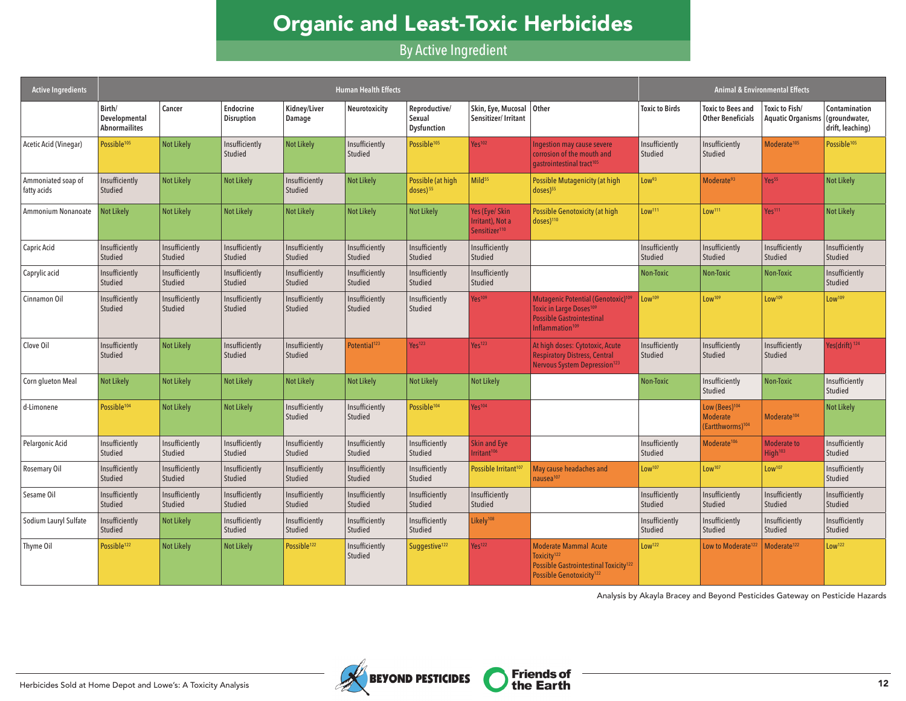# Organic and Least-Toxic Herbicides

By Active Ingredient

| <b>Active Ingredients</b>         |                                                 |                                  |                           |                           | <b>Human Health Effects</b> |                                               |                                                                 |                                                                                                                                                                |                           |                                                                              | <b>Animal &amp; Environmental Effects</b>  |                                                    |
|-----------------------------------|-------------------------------------------------|----------------------------------|---------------------------|---------------------------|-----------------------------|-----------------------------------------------|-----------------------------------------------------------------|----------------------------------------------------------------------------------------------------------------------------------------------------------------|---------------------------|------------------------------------------------------------------------------|--------------------------------------------|----------------------------------------------------|
|                                   | Birth/<br>Developmental<br><b>Abnormailites</b> | Cancer                           | Endocrine<br>Disruption   | Kidney/Liver<br>Damage    | Neurotoxicity               | Reproductive/<br>Sexual<br><b>Dysfunction</b> | Skin, Eye, Mucosal<br>Sensitizer/Irritant                       | Other                                                                                                                                                          | <b>Toxic to Birds</b>     | <b>Toxic to Bees and</b><br><b>Other Beneficials</b>                         | Toxic to Fish/<br><b>Aquatic Organisms</b> | Contamination<br>(groundwater,<br>drift, leaching) |
| Acetic Acid (Vinegar)             | Possible <sup>105</sup>                         | <b>Not Likely</b>                | Insufficiently<br>Studied | Not Likely                | Insufficiently<br>Studied   | Possible <sup>105</sup>                       | Yes <sup>102</sup>                                              | Ingestion may cause severe<br>corrosion of the mouth and<br>gastrointestinal tract <sup>105</sup>                                                              | Insufficiently<br>Studied | Insufficiently<br>Studied                                                    | Moderate <sup>105</sup>                    | Possible <sup>105</sup>                            |
| Ammoniated soap of<br>fatty acids | Insufficiently<br>Studied                       | Not Likely                       | <b>Not Likely</b>         | Insufficiently<br>Studied | <b>Not Likely</b>           | Possible (at high<br>$doses)$ <sup>55</sup>   | Mild <sup>55</sup>                                              | <b>Possible Mutagenicity (at high</b><br>doses) <sup>55</sup>                                                                                                  | Low <sup>93</sup>         | Moderate <sup>93</sup>                                                       | Yes <sup>55</sup>                          | <b>Not Likely</b>                                  |
| Ammonium Nonanoate                | <b>Not Likely</b>                               | <b>Not Likely</b>                | <b>Not Likely</b>         | <b>Not Likely</b>         | <b>Not Likely</b>           | <b>Not Likely</b>                             | Yes (Eye/ Skin<br>Irritant). Not a<br>Sensitizer <sup>110</sup> | <b>Possible Genotoxicity (at high</b><br>doses) <sup>110</sup>                                                                                                 | Low <sup>111</sup>        | Low <sup>111</sup>                                                           | Yes <sup>111</sup>                         | <b>Not Likely</b>                                  |
| Capric Acid                       | Insufficiently<br>Studied                       | Insufficiently<br>Studied        | Insufficiently<br>Studied | Insufficiently<br>Studied | Insufficiently<br>Studied   | Insufficiently<br>Studied                     | Insufficiently<br>Studied                                       |                                                                                                                                                                | Insufficiently<br>Studied | Insufficiently<br>Studied                                                    | Insufficiently<br>Studied                  | Insufficiently<br>Studied                          |
| Caprylic acid                     | Insufficiently<br>Studied                       | Insufficiently<br><b>Studied</b> | Insufficiently<br>Studied | Insufficiently<br>Studied | Insufficiently<br>Studied   | Insufficiently<br>Studied                     | Insufficiently<br>Studied                                       |                                                                                                                                                                | Non-Toxic                 | Non-Toxic                                                                    | Non-Toxic                                  | Insufficiently<br>Studied                          |
| Cinnamon Oil                      | Insufficiently<br>Studied                       | Insufficiently<br><b>Studied</b> | Insufficiently<br>Studied | Insufficiently<br>Studied | Insufficiently<br>Studied   | Insufficiently<br>Studied                     | <b>Yes</b> <sup>109</sup>                                       | Mutagenic Potential (Genotoxic) <sup>109</sup><br><b>Toxic in Large Doses<sup>109</sup></b><br><b>Possible Gastrointestinal</b><br>Inflammation <sup>109</sup> | Low <sup>109</sup>        | Low <sup>109</sup>                                                           | Low <sup>109</sup>                         | Low <sup>109</sup>                                 |
| Clove Oil                         | Insufficiently<br>Studied                       | <b>Not Likely</b>                | Insufficiently<br>Studied | Insufficiently<br>Studied | Potential <sup>123</sup>    | Yes <sup>123</sup>                            | Yes <sup>123</sup>                                              | At high doses: Cytotoxic, Acute<br><b>Respiratory Distress, Central</b><br>Nervous System Depression <sup>123</sup>                                            | Insufficiently<br>Studied | Insufficiently<br>Studied                                                    | Insufficiently<br>Studied                  | Yes(drift) 124                                     |
| Corn glueton Meal                 | <b>Not Likely</b>                               | <b>Not Likely</b>                | <b>Not Likely</b>         | <b>Not Likely</b>         | <b>Not Likely</b>           | <b>Not Likely</b>                             | <b>Not Likely</b>                                               |                                                                                                                                                                | Non-Toxic                 | Insufficiently<br>Studied                                                    | Non-Toxic                                  | Insufficiently<br>Studied                          |
| d-Limonene                        | Possible <sup>104</sup>                         | <b>Not Likely</b>                | <b>Not Likely</b>         | Insufficiently<br>Studied | Insufficiently<br>Studied   | Possible <sup>104</sup>                       | $Yes^{104}$                                                     |                                                                                                                                                                |                           | Low (Bees) <sup>104</sup><br><b>Moderate</b><br>(Eartthworms) <sup>104</sup> | Moderate <sup>104</sup>                    | <b>Not Likely</b>                                  |
| Pelargonic Acid                   | Insufficiently<br>Studied                       | Insufficiently<br>Studied        | Insufficiently<br>Studied | Insufficiently<br>Studied | Insufficiently<br>Studied   | Insufficiently<br>Studied                     | <b>Skin and Eye</b><br>Irritant <sup>106</sup>                  |                                                                                                                                                                | Insufficiently<br>Studied | Moderate <sup>106</sup>                                                      | <b>Moderate to</b><br>High <sup>103</sup>  | Insufficiently<br>Studied                          |
| <b>Rosemary Oil</b>               | Insufficiently<br>Studied                       | Insufficiently<br><b>Studied</b> | Insufficiently<br>Studied | Insufficiently<br>Studied | Insufficiently<br>Studied   | Insufficiently<br>Studied                     | Possible Irritant <sup>107</sup>                                | May cause headaches and<br>nausea <sup>107</sup>                                                                                                               | Low <sup>107</sup>        | Low <sup>107</sup>                                                           | Low <sup>107</sup>                         | Insufficiently<br>Studied                          |
| Sesame Oil                        | Insufficiently<br>Studied                       | Insufficiently<br><b>Studied</b> | Insufficiently<br>Studied | Insufficiently<br>Studied | Insufficiently<br>Studied   | Insufficiently<br>Studied                     | Insufficiently<br>Studied                                       |                                                                                                                                                                | Insufficiently<br>Studied | Insufficiently<br>Studied                                                    | Insufficiently<br>Studied                  | Insufficiently<br>Studied                          |
| Sodium Lauryl Sulfate             | Insufficiently<br>Studied                       | Not Likely                       | Insufficiently<br>Studied | Insufficiently<br>Studied | Insufficiently<br>Studied   | Insufficiently<br>Studied                     | Likely <sup>108</sup>                                           |                                                                                                                                                                | Insufficiently<br>Studied | Insufficiently<br>Studied                                                    | Insufficiently<br>Studied                  | Insufficiently<br>Studied                          |
| Thyme Oil                         | Possible <sup>122</sup>                         | Not Likely                       | <b>Not Likely</b>         | Possible <sup>122</sup>   | Insufficiently<br>Studied   | Suggestive <sup>122</sup>                     | Yes <sup>122</sup>                                              | <b>Moderate Mammal Acute</b><br>Toxicity <sup>122</sup><br>Possible Gastrointestinal Toxicity <sup>122</sup><br>Possible Genotoxicity <sup>122</sup>           | Low <sup>122</sup>        | Low to Moderate <sup>122</sup>                                               | Moderate <sup>122</sup>                    | Low <sup>122</sup>                                 |

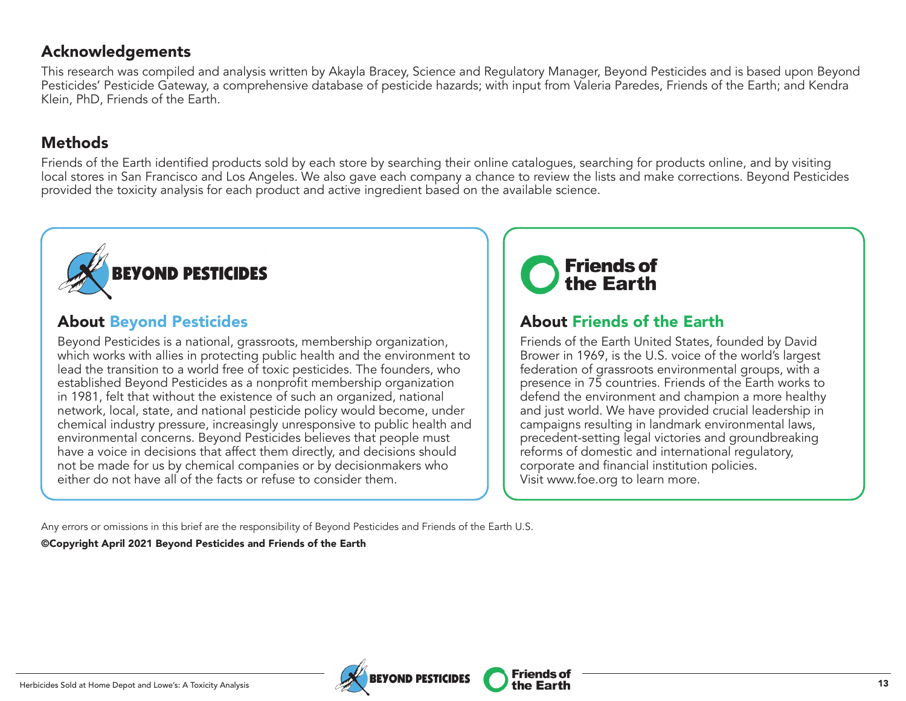#### Acknowledgements

This research was compiled and analysis written by Akayla Bracey, Science and Regulatory Manager, Beyond Pesticides and is based upon Beyond Pesticides' Pesticide Gateway, a comprehensive database of pesticide hazards; with input from Valeria Paredes, Friends of the Earth; and Kendra Klein, PhD, Friends of the Earth.

### Methods

Friends of the Earth identified products sold by each store by searching their online catalogues, searching for products online, and by visiting local stores in San Francisco and Los Angeles. We also gave each company a chance to review the lists and make corrections. Beyond Pesticides provided the toxicity analysis for each product and active ingredient based on the available science.



### About Beyond Pesticides

Beyond Pesticides is a national, grassroots, membership organization, which works with allies in protecting public health and the environment to lead the transition to a world free of toxic pesticides. The founders, who established Beyond Pesticides as a nonprofit membership organization in 1981, felt that without the existence of such an organized, national network, local, state, and national pesticide policy would become, under chemical industry pressure, increasingly unresponsive to public health and environmental concerns. Beyond Pesticides believes that people must have a voice in decisions that affect them directly, and decisions should not be made for us by chemical companies or by decisionmakers who either do not have all of the facts or refuse to consider them.



**Friends of** 

# About Friends of the Earth

Friends of the Earth United States, founded by David Brower in 1969, is the U.S. voice of the world's largest federation of grassroots environmental groups, with a presence in 75 countries. Friends of the Earth works to defend the environment and champion a more healthy and just world. We have provided crucial leadership in campaigns resulting in landmark environmental laws, precedent-setting legal victories and groundbreaking reforms of domestic and international regulatory, corporate and financial institution policies. Visit www.foe.org to learn more.

Any errors or omissions in this brief are the responsibility of Beyond Pesticides and Friends of the Earth U.S.

©Copyright April 2021 Beyond Pesticides and Friends of the Earth

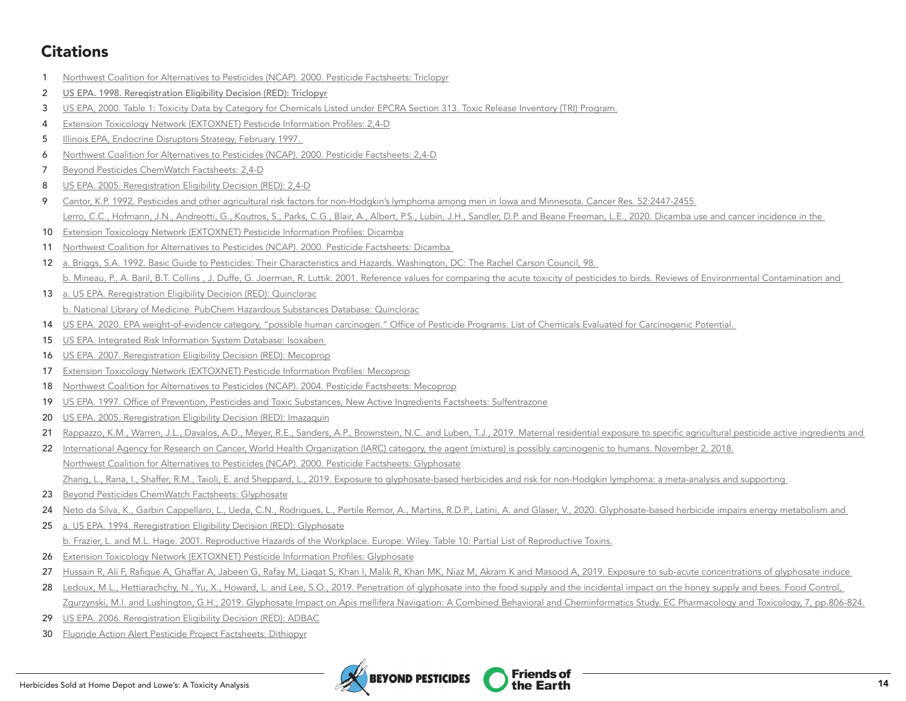## **Citations**

- [Northwest Coalition for Alternatives to Pesticides \(NCAP\). 2000. Pesticide Factsheets: Triclopyr](https://d3n8a8pro7vhmx.cloudfront.net/ncap/pages/26/attachments/original/1428423464/triclopyr.pdf?1428423464)
- [US EPA. 1998. Reregistration Eligibility Decision \(RED\): Triclopyr](https://archive.epa.gov/pesticides/reregistration/web/pdf/2710red.pdf)
- [US EPA, 2000. Table 1: Toxicity Data by Category for Chemicals Listed under EPCRA Section 313. Toxic Release Inventory \(TRI\) Program.](https://www.epa.gov/sites/production/files/documents/hazard_categories.pdf)
- [Extension Toxicology Network \(EXTOXNET\) Pesticide Information Profiles: 2,4-D](http://extoxnet.orst.edu/pips/24-D.htm)
- 5 Illinois EPA, Endocrine Disruptors Strategy, February 1997.
- [Northwest Coalition for Alternatives to Pesticides \(NCAP\). 2000. Pesticide Factsheets: 2,4-D](https://d3n8a8pro7vhmx.cloudfront.net/ncap/pages/26/attachments/original/1428423300/24d-factsheet.pdf?1428423300)
- [Beyond Pesticides ChemWatch Factsheets: 2,4-D](https://www.beyondpesticides.org/assets/media/documents/pesticides/factsheets/2-4-D.pdf)
- [US EPA. 2005. Reregistration Eligibility Decision \(RED\): 2,4-D](https://www3.epa.gov/pesticides/chem_search/reg_actions/reregistration/red_PC-030001_1-Jun-05.pdf)
- [Cantor, K.P. 1992. Pesticides and other agricultural risk factors for non-Hodgkin's lymphoma among men in Iowa and Minnesota. Cancer Res. 52:2447-2455.](https://cancerres.aacrjournals.org/content/canres/52/9/2447.full.pdf) [Lerro, C.C., Hofmann, J.N., Andreotti, G., Koutros, S., Parks, C.G., Blair, A., Albert, P.S., Lubin, J.H., Sandler, D.P. and Beane Freeman, L.E., 2020. Dicamba use and cancer incidence in the](https://doi.org/10.1093/ije/dyaa066)
- [Extension Toxicology Network \(EXTOXNET\) Pesticide Information Profiles: Dicamba](http://extoxnet.orst.edu/pips/dicamba.htm)
- [Northwest Coalition for Alternatives to Pesticides \(NCAP\). 2000. Pesticide Factsheets: Dicamba](https://d3n8a8pro7vhmx.cloudfront.net/ncap/pages/26/attachments/original/1428423357/dicamba.pdf?1428423357)
- [a. Briggs, S.A. 1992. Basic Guide to Pesticides: Their Characteristics and Hazards. Washington, DC: The Rachel Carson Council, 98.](https://www.cabdirect.org/cabdirect/abstract/19932334845)  [b. Mineau, P., A. Baril, B.T. Collins , J. Duffe, G. Joerman, R. Luttik. 2001. Reference values for comparing the acute toxicity of pesticides to birds. Reviews of Environmental Contamination and](http://web.archive.org/web/20081006213641/http:/www.abcbirds.org/abcprograms/policy/pesticides/aims/aims/toxicitytable.cfm)
- [a. US EPA. Reregistration Eligibility Decision \(RED\): Quinclorac](https://www.regulations.gov/search?filter=EPA-HQ-OPP-2007-1135) [b. National Library of Medicine. PubChem Hazardous Substances Database: Quinclorac](https://pubchem.ncbi.nlm.nih.gov/compound/Quinclorac)
- [US EPA. 2020. EPA weight-of-evidence category, "possible human carcinogen." Office of Pesticide Programs. List of Chemicals Evaluated for Carcinogenic Potential.](http://npic.orst.edu/chemicals_evaluated.pdf)
- [US EPA. Integrated Risk Information System Database: Isoxaben](https://iris.epa.gov/ChemicalLanding/&substance_nmbr=339)
- [US EPA. 2007. Reregistration Eligibility Decision \(RED\): Mecoprop](https://archive.epa.gov/pesticides/reregistration/web/pdf/mcpp_red.pdf)
- [Extension Toxicology Network \(EXTOXNET\) Pesticide Information Profiles: Mecoprop](http://extoxnet.orst.edu/pips/mecoprop.htm)
- [Northwest Coalition for Alternatives to Pesticides \(NCAP\). 2004. Pesticide Factsheets: Mecoprop](https://d3n8a8pro7vhmx.cloudfront.net/ncap/pages/26/attachments/original/1428423401/mecoprop_mcpp.pdf?1428423401)
- [US EPA. 1997. Office of Prevention, Pesticides and Toxic Substances, New Active Ingredients Factsheets: Sulfentrazone](http://web.archive.org/web/20120107220148/http:/www.epa.gov/opprd001/factsheets/sulfentrazone.pdf)
- [US EPA. 2005. Reregistration Eligibility Decision \(RED\): Imazaquin](https://archive.epa.gov/pesticides/reregistration/web/pdf/imazaquin_tred.pdf)
- 21 Rappazzo, K.M., Warren, J.L., Davalos, A.D., Meyer, R.E., Sanders, A.P., Brownstein, N.C. and Luben, T.J., 2019. Maternal residential exposure to specific agricultural pesticide active ingredients and
- [International Agency for Research on Cancer, World Health Organization \(IARC\) category, the agent \(mixture\) is possibly carcinogenic to humans. November 2, 2018.](https://monographs.iarc.who.int/agents-classified-by-the-iarc/) [Northwest Coalition for Alternatives to Pesticides \(NCAP\). 2000. Pesticide Factsheets: Glyphosate](https://d3n8a8pro7vhmx.cloudfront.net/ncap/pages/26/attachments/original/1519084542/GlyphosateFactsheet.pdf?1519084542) [Zhang, L., Rana, I., Shaffer, R.M., Taioli, E. and Sheppard, L., 2019. Exposure to glyphosate-based herbicides and risk for non-Hodgkin lymphoma: a meta-analysis and supporting](https://www.sciencedirect.com/science/article/pii/S1383574218300887)
- [Beyond Pesticides ChemWatch Factsheets: Glyphosate](https://www.beyondpesticides.org/assets/media/documents/pesticides/factsheets/bp-fact-glyosphate.082017.pdf)
- 24 Neto da Silva, K., Garbin Cappellaro, L., Ueda, C.N., Rodrigues, L., Pertile Remor, A., Martins, R.D.P., Latini, A. and Glaser, V., 2020. Glyphosate-based herbicide impairs energy metabolism and
- [a. US EPA. 1994. Reregistration Eligibility Decision \(RED\): Glyphosate](https://archive.epa.gov/pesticides/reregistration/web/pdf/glyphosate.pdf) [b. Frazier, L. and M.L. Hage. 2001. Reproductive Hazards of the Workplace. Europe: Wiley. Table 10: Partial List of Reproductive Toxins.](https://web.archive.org/web/20100624221623/http:/www.biosci.osu.edu/safety/CHP/Tables2001/Table10-11-00.pdf)
- [Extension Toxicology Network \(EXTOXNET\) Pesticide Information Profiles: Glyphosate](http://extoxnet.orst.edu/pips/glyphosa.htm)
- 27 Hussain R, Ali F, Rafique A, Ghaffar A, Jabeen G, Rafay M, Liaqat S, Khan I, Malik R, Khan MK, Niaz M, Akram K and Masood A, 2019. Exposure to sub-acute concentrations of glyphosate induce
- 28 Ledoux, M.L., Hettiarachchy, N., Yu, X., Howard, L. and Lee, S.O., 2019. Penetration of glyphosate into the food supply and the incidental impact on the honey supply and bees. Food Control, [Zgurzynski, M.I. and Lushington, G.H., 2019. Glyphosate Impact on Apis mellifera Navigation: A Combined Behavioral and Cheminformatics Study.](https://www.ecronicon.com/ecpt/pdf/ECPT-07-00336.pdf) EC Pharmacology and Toxicology, 7, pp.806-824.
- [US EPA. 2006. Reregistration Eligibility Decision \(RED\): ADBAC](https://archive.epa.gov/pesticides/reregistration/web/pdf/adbac_red.pdf)
- [Fluoride Action Alert Pesticide Project Factsheets: Dithiopyr](http://www.fluoridealert.org/wp-content/pesticides/dithiopyr-page.htm)

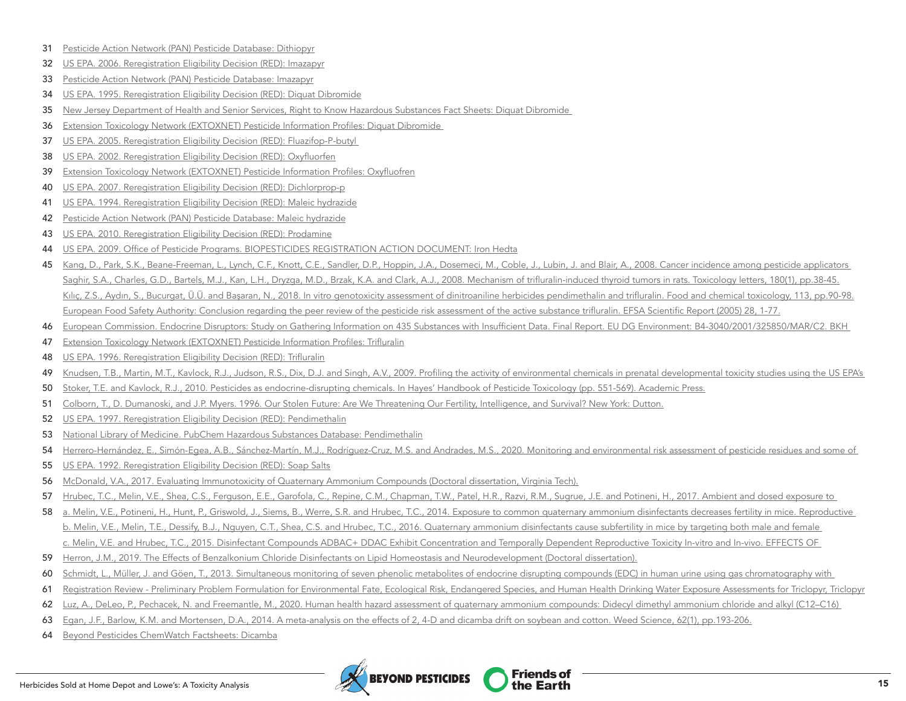- [Pesticide Action Network \(PAN\) Pesticide Database: Dithiopyr](https://www.pesticideinfo.org/chemical/PRI2874/)
- [US EPA. 2006. Reregistration Eligibility Decision \(RED\): Imazapyr](https://archive.epa.gov/pesticides/reregistration/web/pdf/imazapyr_red.pdf)
- [Pesticide Action Network \(PAN\) Pesticide Database: Imazapyr](https://www.pesticideinfo.org/chemical/PRI3623)
- [US EPA. 1995. Reregistration Eligibility Decision \(RED\): Diquat Dibromide](https://archive.epa.gov/pesticides/reregistration/web/pdf/0288.pdf)
- 35 New Jersey Department of Health and Senior Services, Right to Know Hazardous Substances Fact Sheets: Diquat Dibromide
- [Extension Toxicology Network \(EXTOXNET\) Pesticide Information Profiles: Diquat Dibromide](http://extoxnet.orst.edu/pips/diquatdi.htm)
- 37 US EPA. 2005. Reregistration Eligibility Decision (RED): Fluazifop-P-butyl
- [US EPA. 2002. Reregistration Eligibility Decision \(RED\): Oxyfluorfen](https://archive.epa.gov/pesticides/reregistration/web/pdf/oxyfluorfen_red.pdf)
- [Extension Toxicology Network \(EXTOXNET\) Pesticide Information Profiles: Oxyfluofren](http://extoxnet.orst.edu/pips/oxyfluor.htm)
- [US EPA. 2007. Reregistration Eligibility Decision \(RED\): Dichlorprop-p](https://archive.epa.gov/pesticides/reregistration/web/pdf/24dp_red.pdf)
- [US EPA. 1994. Reregistration Eligibility Decision \(RED\): Maleic hydrazide](https://archive.epa.gov/pesticides/reregistration/web/pdf/0381.pdf)
- [Pesticide Action Network \(PAN\) Pesticide Database: Maleic hydrazide](https://www.pesticideinfo.org/chemical/PRI3938)
- [US EPA. 2010. Reregistration Eligibility Decision \(RED\): Prodamine](https://www.beyondpesticides.org/assets/media/documents/documents/Prodiamine%20Summary%20Document%202010.pdf)
- [US EPA. 2009. Office of Pesticide Programs. BIOPESTICIDES REGISTRATION ACTION DOCUMENT: Iron Hedta](https://www3.epa.gov/pesticides/chem_search/reg_actions/registration/decision_PC-034702_17-Sep-09.pdf)
- [Kang, D., Park, S.K., Beane-Freeman, L., Lynch, C.F., Knott, C.E., Sandler, D.P., Hoppin, J.A., Dosemeci, M., Coble, J., Lubin, J. and Blair, A., 2008. Cancer incidence among pesticide applicators](https://www.sciencedirect.com/science/article/pii/S0013935108000236)  [Saghir, S.A., Charles, G.D., Bartels, M.J., Kan, L.H., Dryzga, M.D., Brzak, K.A. and Clark, A.J., 2008. Mechanism of trifluralin-induced thyroid tumors in rats.](https://www.sciencedirect.com/science/article/pii/S0378427408001732) Toxicology letters, 180(1), pp.38-45. [Kılıç, Z.S., Aydın, S., Bucurgat, Ü.Ü. and Başaran, N., 2018. In vitro genotoxicity assessment of dinitroaniline herbicides pendimethalin and trifluralin.](https://www.sciencedirect.com/science/article/pii/S0278691518300346) Food and chemical toxicology, 113, pp.90-98. European Food Safety Authority: [Conclusion regarding the peer review of the pesticide risk assessment of the active substance trifluralin. EFSA Scientific Report \(2005\) 28, 1-77.](http://www.fluoridealert.org/wp-content/pesticides/trifluralin.eu.long.2005.pdf)
- [European Commission. Endocrine Disruptors: Study on Gathering Information on 435 Substances with Insufficient Data. Final Report. EU DG Environment: B4-3040/2001/325850/MAR/C2. BKH](https://ec.europa.eu/environment/chemicals/endocrine/pdf/bkh_report.pdf)
- [Extension Toxicology Network \(EXTOXNET\) Pesticide Information Profiles: Trifluralin](http://extoxnet.orst.edu/pips/triflura.htm)
- [US EPA. 1996. Reregistration Eligibility Decision \(RED\): Trifluralin](https://archive.epa.gov/pesticides/reregistration/web/pdf/0179.pdf)
- 49 Knudsen, T.B., Martin, M.T., Kavlock, R.J., Judson, R.S., Dix, D.J. and Singh, A.V., 2009. Profiling the activity of environmental chemicals in prenatal developmental toxicity studies using the US EPA's
- [Stoker, T.E. and Kavlock, R.J., 2010. Pesticides as endocrine-disrupting chemicals. In Hayes' Handbook of Pesticide Toxicology \(pp. 551-569\). Academic Press.](https://www.sciencedirect.com/science/article/pii/B9780123743671000185?via%3Dihub)
- 51 Colborn, T., D. Dumanoski, and J.P. Myers, 1996. Our Stolen Future: Are We Threatening Our Fertility, Intelligence, and Survival? New York: Dutton.
- [US EPA. 1997. Reregistration Eligibility Decision \(RED\): Pendimethalin](https://archive.epa.gov/pesticides/reregistration/web/pdf/0187red.pdf)
- [National Library of Medicine. PubChem Hazardous Substances Database: Pendimethalin](https://pubchem.ncbi.nlm.nih.gov/compound/38479)
- 54 Herrero-Hernández, E., Simón-Egea, A.B., Sánchez-Martín, M.J., Rodríguez-Cruz, M.S. and Andrades, M.S., 2020. Monitoring and environmental risk assessment of pesticide residues and some of
- [US EPA. 1992. Reregistration Eligibility Decision \(RED\): Soap Salts](https://www3.epa.gov/pesticides/chem_search/reg_actions/reregistration/fs_G-76_1-Sep-92.pdf)
- McDonald, V.A., 2017. [Evaluating Immunotoxicity of Quaternary Ammonium Compounds](https://vtechworks.lib.vt.edu/handle/10919/79723) (Doctoral dissertation, Virginia Tech).
- [Hrubec, T.C., Melin, V.E., Shea, C.S., Ferguson, E.E., Garofola, C., Repine, C.M., Chapman, T.W., Patel, H.R., Razvi, R.M., Sugrue, J.E. and Potineni, H., 2017. Ambient and dosed exposure to](https://onlinelibrary.wiley.com/doi/full/10.1002/bdr2.1064)
- [a. Melin, V.E., Potineni, H., Hunt, P., Griswold, J., Siems, B., Werre, S.R. and Hrubec, T.C., 2014. Exposure to common quaternary ammonium disinfectants decreases fertility in mice.](https://www.sciencedirect.com/science/article/pii/S0890623814001920) Reproductive [b. Melin, V.E., Melin, T.E., Dessify, B.J., Nguyen, C.T., Shea, C.S. and Hrubec, T.C., 2016. Quaternary ammonium disinfectants cause subfertility in mice by targeting both male and female](https://www.sciencedirect.com/science/article/pii/S0890623815300319)  [c. Melin, V.E. and Hrubec, T.C., 2015. Disinfectant Compounds ADBAC+ DDAC Exhibit Concentration and Temporally Dependent Reproductive Toxicity In-vitro and In-vivo.](https://vtechworks.lib.vt.edu/bitstream/handle/10919/74337/Melin_VE_D_2015.pdf?isAllowed=y&sequence=1) EFFECTS OF
- Herron, J.M., 2019. [The Effects of Benzalkonium Chloride Disinfectants on Lipid Homeostasis and Neurodevelopment](https://digital.lib.washington.edu/researchworks/handle/1773/45182) (Doctoral dissertation).
- 60 Schmidt, L., Müller, J. and Göen, T., 2013. Simultaneous monitoring of seven phenolic metabolites of endocrine disrupting compounds (EDC) in human urine using gas chromatography with
- 61 Registration Review Preliminary Problem Formulation for Environmental Fate, Ecological Risk, Endangered Species, and Human Health Drinking Water Exposure Assessments for Triclopyr, Triclopyr, Triclopyr
- 62 Luz, A., DeLeo, P., Pechacek, N. and Freemantle, M., 2020. Human health hazard assessment of quaternary ammonium compounds: Didecyl dimethyl ammonium chloride and alkyl (C12–C16)
- [Egan, J.F., Barlow, K.M. and Mortensen, D.A., 2014. A meta-analysis on the effects of 2, 4-D and dicamba drift on soybean and cotton.](https://bioone.org/journals/weed-science/volume-62/issue-1/WS-D-13-00025.1/A-Meta-Analysis-on-the-Effects-of-24-D-and/10.1614/WS-D-13-00025.1.short) Weed Science, 62(1), pp.193-206.
- [Beyond Pesticides ChemWatch Factsheets: Dicamba](https://www.beyondpesticides.org/assets/media/documents/pesticides/factsheets/Dicamba.pdf)

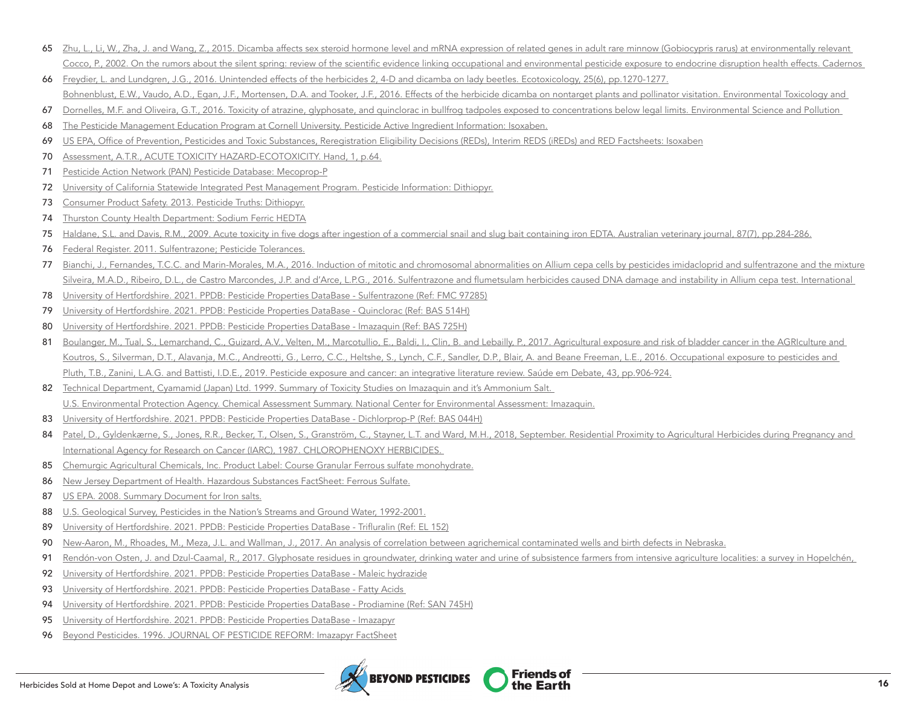- 65 Zhu, L., Li, W., Zha, J. and Wang, Z., 2015. Dicamba affects sex steroid hormone level and mRNA expression of related genes in adult rare minnow (Gobiocypris rarus) at environmentally relevant [Cocco, P., 2002. On the rumors about the silent spring: review of the scientific evidence linking occupational and environmental pesticide exposure to endocrine disruption health effects.](https://www.scielosp.org/article/csp/2002.v18n2/379-402/) Cadernos
- [Freydier, L. and Lundgren, J.G., 2016. Unintended effects of the herbicides 2, 4-D and dicamba on lady beetles.](https://link.springer.com/article/10.1007/s10646-016-1680-4) Ecotoxicology, 25(6), pp.1270-1277.

[Bohnenblust, E.W., Vaudo, A.D., Egan, J.F., Mortensen, D.A. and Tooker, J.F., 2016. Effects of the herbicide dicamba on nontarget plants and pollinator visitation.](https://setac.onlinelibrary.wiley.com/doi/abs/10.1002/etc.3169) Environmental Toxicology and

- [Dornelles, M.F. and Oliveira, G.T., 2016. Toxicity of atrazine, glyphosate, and quinclorac in bullfrog tadpoles exposed to concentrations below legal limits.](https://link.springer.com/content/pdf/10.1007/s11356-015-5388-4.pdf) Environmental Science and Pollution
- [The Pesticide Management Education Program at Cornell University. Pesticide Active Ingredient Information: Isoxaben.](https://web.archive.org/web/20180615082133/http:/pmep.cce.cornell.edu/profiles/herb-growthreg/fatty-alcohol-monuron/isoxaben/gall-snap.html)
- [US EPA, Office of Prevention, Pesticides and Toxic Substances, Reregistration Eligibility Decisions \(REDs\), Interim REDS \(iREDs\) and RED Factsheets: Isoxaben](https://iaspub.epa.gov/apex/pesticides/f?p=CHEMICALSEARCH:31::::1,3,31,7,12,25:P3_XCHEMICAL_ID:2644)
- [Assessment, A.T.R., ACUTE TOXICITY HAZARD-ECOTOXICITY.](https://www.co.thurston.wa.us/health/ehipm/pdf_terr/terrestrial%20actives/isoxaben.pdf) Hand, 1, p.64.
- [Pesticide Action Network \(PAN\) Pesticide Database: Mecoprop-P](https://www.pesticideinfo.org/chemical/PRI4011)
- [University of California Statewide Integrated Pest Management Program. Pesticide Information: Dithiopyr.](http://ipm.ucanr.edu/TOOLS/PNAI/pnaishow.php?id=32)
- [Consumer Product Safety. 2013. Pesticide Truths: Dithiopyr.](http://pesticidetruths.com/wp-content/uploads/2013/06/Health-Canada-dithyopyr-2009-09-11-Re-Evaluation-Decision-RVD2009-15.pdf)
- [Thurston County Health Department: Sodium Ferric HEDTA](https://www.co.thurston.wa.us/health/ehipm/pdf_insect/insecticide%20actives/sodium-ferric-EDTA.pdf)
- [Haldane, S.L. and Davis, R.M., 2009. Acute toxicity in five dogs after ingestion of a commercial snail and slug bait containing iron EDTA.](https://onlinelibrary.wiley.com/doi/abs/10.1111/j.1751-0813.2009.00451.x) Australian veterinary journal, 87(7), pp.284-286.
- [Federal Register. 2011. Sulfentrazone; Pesticide Tolerances.](https://www.federalregister.gov/documents/2011/02/02/2011-1898/sulfentrazone-pesticide-tolerances)
- [Bianchi, J., Fernandes, T.C.C. and Marin-Morales, M.A., 2016. Induction of mitotic and chromosomal abnormalities on Allium cepa cells by pesticides imidacloprid and sulfentrazone and the mixture](https://www.sciencedirect.com/science/article/abs/pii/S0045653515301089)  [Silveira, M.A.D., Ribeiro, D.L., de Castro Marcondes, J.P. and d'Arce, L.P.G., 2016. Sulfentrazone and flumetsulam herbicides caused DNA damage and instability in Allium cepa test.](https://www.researchgate.net/profile/Maruhen-Silveira/publication/320195660_Sulfentrazone_and_Flumetsulam_herbicides_caused_DNA_damage_and_Instability_in_Allium_cepa_test/links/59d457b2aca2721f436cefce/Sulfentrazone-and-Flumetsulam-herbicides-caused-DNA-damage-and-Instability-in-Allium-cepa-test.pdf) International
- [University of Hertfordshire. 2021. PPDB: Pesticide Properties DataBase Sulfentrazone \(Ref: FMC 97285\)](https://sitem.herts.ac.uk/aeru/ppdb/en/Reports/601.htm)
- [University of Hertfordshire. 2021. PPDB: Pesticide Properties DataBase Quinclorac \(Ref: BAS 514H\)](https://sitem.herts.ac.uk/aeru/ppdb/en/Reports/577.htm)
- [University of Hertfordshire. 2021. PPDB: Pesticide Properties DataBase Imazaquin \(Ref: BAS 725H\)](https://sitem.herts.ac.uk/aeru/ppdb/en/Reports/394.htm)
- 81 Boulanger, M., Tual, S., Lemarchand, C., Guizard, A.V., Velten, M., Marcotullio, E., Baldi, I., Clin, B. and Lebailly, P., 2017. Agricultural exposure and risk of bladder cancer in the AGRIculture and [Koutros, S., Silverman, D.T., Alavanja, M.C., Andreotti, G., Lerro, C.C., Heltshe, S., Lynch, C.F., Sandler, D.P., Blair, A. and Beane Freeman, L.E., 2016. Occupational exposure to pesticides and](https://academic.oup.com/ije/article/45/3/792/2572586?login=true)  [Pluth, T.B., Zanini, L.A.G. and Battisti, I.D.E., 2019. Pesticide exposure and cancer: an integrative literature review.](https://www.scielosp.org/article/sdeb/2019.v43n122/906-924/en/) Saúde em Debate, 43, pp.906-924.
- 82 Technical Department, Cyamamid (Japan) Ltd. 1999. Summary of Toxicity Studies on Imazaquin and it's Ammonium Salt. [U.S. Environmental Protection Agency. Chemical Assessment Summary. National Center for Environmental Assessment: Imazaquin.](https://iris.epa.gov/static/pdfs/0062_summary.pdf)
- [University of Hertfordshire. 2021. PPDB: Pesticide Properties DataBase Dichlorprop-P \(Ref: BAS 044H\)](https://sitem.herts.ac.uk/aeru/ppdb/en/Reports/219.htm)
- 84 Patel, D., Gyldenkærne, S., Jones, R.R., Becker, T., Olsen, S., Granström, C., Stayner, L.T. and Ward, M.H., 2018, September. Residential Proximity to Agricultural Herbicides during Pregnancy and [International Agency for Research on Cancer \(IARC\), 1987. CHLOROPHENOXY HERBICIDES.](http://www.inchem.org/documents/iarc/suppl7/chlorophenoxyherbicides.html)
- [Chemurgic Agricultural Chemicals, Inc. Product Label: Course Granular Ferrous sulfate monohydrate.](http://[s4l0];/)
- [New Jersey Department of Health. Hazardous Substances FactSheet: Ferrous Sulfate.](https://nj.gov/health/eoh/rtkweb/documents/fs/0931.pdf)
- [US EPA. 2008. Summary Document for Iron salts.](https://www.regulations.gov/search?filter=EPA-HQ-OPP-2008-0626-0003)
- [U.S. Geological Survey, Pesticides in the Nation's Streams and Ground Water, 1992-2001.](https://water.usgs.gov/nawqa/pnsp/pubs/circ1291/appendix7/)
- [University of Hertfordshire. 2021. PPDB: Pesticide Properties DataBase Trifluralin \(Ref: EL 152\)](https://sitem.herts.ac.uk/aeru/ppdb/en/Reports/667.htm)
- [New-Aaron, M., Rhoades, M., Meza, J.L. and Wallman, J., 2017. An analysis of correlation between agrichemical contaminated wells and birth defects in Nebraska.](https://digitalcommons.unmc.edu/coph_pres/4/)
- [Rendón-von Osten, J. and Dzul-Caamal, R., 2017. Glyphosate residues in groundwater, drinking water and urine of subsistence farmers from intensive agriculture localities: a survey in Hopelchén,](https://www.mdpi.com/1660-4601/14/6/595/htm)
- [University of Hertfordshire. 2021. PPDB: Pesticide Properties DataBase Maleic hydrazide](https://sitem.herts.ac.uk/aeru/ppdb/en/Reports/422.htm)
- 93 University of Hertfordshire. 2021. PPDB: Pesticide Properties DataBase Fatty Acids
- [University of Hertfordshire. 2021. PPDB: Pesticide Properties DataBase Prodiamine \(Ref: SAN 745H\)](https://sitem.herts.ac.uk/aeru/ppdb/en/Reports/1202.htm)
- [University of Hertfordshire. 2021. PPDB: Pesticide Properties DataBase Imazapyr](https://sitem.herts.ac.uk/aeru/ppdb/en/Reports/393.htm)
- [Beyond Pesticides. 1996. JOURNAL OF PESTICIDE REFORM: Imazapyr FactSheet](http://www.eastbaypesticidealert.org/imazapyr.pdf)